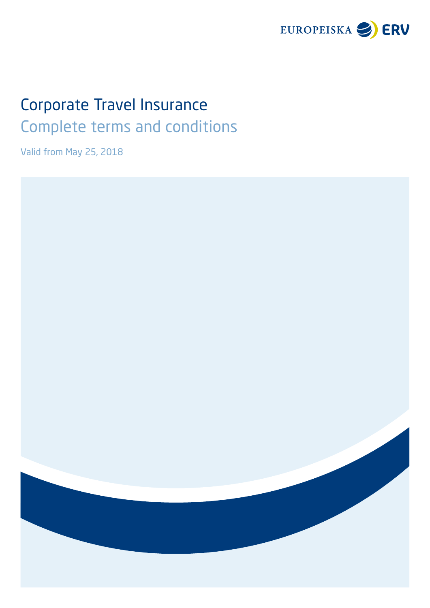

# Corporate Travel Insurance Complete terms and conditions

Valid from May 25, 2018

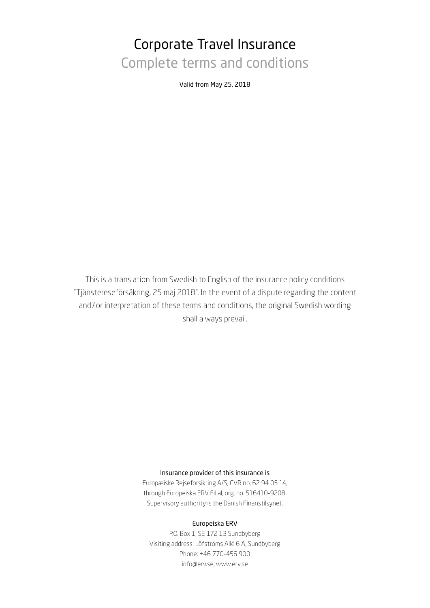# Corporate Travel Insurance Complete terms and conditions

Valid from May 25, 2018

This is a translation from Swedish to English of the insurance policy conditions "Tjänstereseförsäkring, 25 maj 2018". In the event of a dispute regarding the content and / or interpretation of these terms and conditions, the original Swedish wording shall always prevail.

#### Insurance provider of this insurance is

Europæiske Rejseforsikring A/S, CVR no. 62 94 05 14, through Europeiska ERV Filial, org. no. 516410-9208. Supervisory authority is the Danish Finanstilsynet.

#### Europeiska ERV

P.O. Box 1, SE-172 13 Sundbyberg Visiting address: Löfströms Allé 6 A, Sundbyberg Phone: +46 770-456 900 [info@erv.se,](mailto:info%40erv.se?subject=) [www.erv.se](https://www.erv.se/foretag/)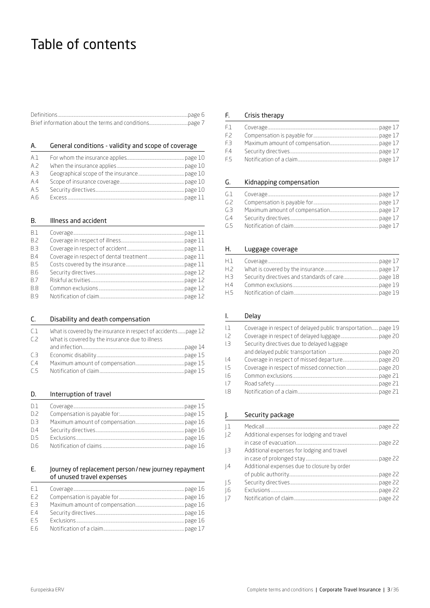# Table of contents

# A. General conditions - validity and scope of coverage

| A.1 |  |
|-----|--|
| A.7 |  |
| A.3 |  |
| A.4 |  |
| A.5 |  |
| A.6 |  |

#### B. Illness and accident

| <b>B.1</b> |  |
|------------|--|
| <b>B.2</b> |  |
| B.3        |  |
| <b>B.4</b> |  |
| <b>B.5</b> |  |
| - R.6      |  |
| <b>B.7</b> |  |
| <b>B.8</b> |  |
| <b>B.9</b> |  |

| C.             | Disability and death compensation                               |  |
|----------------|-----------------------------------------------------------------|--|
| C <sub>1</sub> | What is covered by the insurance in respect of accidentspage 12 |  |
| C <sub>2</sub> | What is covered by the insurance due to illness                 |  |
|                |                                                                 |  |
| C <sub>3</sub> |                                                                 |  |
| C <sub>4</sub> |                                                                 |  |
| C.5            |                                                                 |  |

# D. Interruption of travel

| D.1   |  |
|-------|--|
| D.2   |  |
| $D-3$ |  |
| D.4   |  |
| D.5   |  |
| D.6   |  |

#### E. Journey of replacement person/new journey repayment of unused travel expenses

| F.1            |  |
|----------------|--|
| E.Z            |  |
| E <sub>3</sub> |  |
| F.4            |  |
| E.5            |  |
| F.6            |  |

#### F. Crisis therapy

| F.1 - |  |
|-------|--|
| EZ.   |  |
| EB.   |  |
| F.4   |  |
| F.5   |  |

# G. Kidnapping compensation

| GL <sub>1</sub> |  |
|-----------------|--|
| G.Z             |  |
| 63.             |  |
| G.4             |  |
| G.5             |  |

# H. Luggage coverage

| H.1            |  |
|----------------|--|
| H.2            |  |
| H.3            |  |
| H <sub>4</sub> |  |
| H.5            |  |

#### I. Delay

| L1             | Coverage in respect of delayed public transportation page 19 |  |
|----------------|--------------------------------------------------------------|--|
| L <sup>2</sup> |                                                              |  |
| ıз             | Security directives due to delayed luggage                   |  |
|                |                                                              |  |
| $\vert 4$      |                                                              |  |
| $L$ 5          |                                                              |  |
| L6             |                                                              |  |
| 1.7            |                                                              |  |
| 1.8            |                                                              |  |

## J. Security package

| $\pm$            |                                             |  |
|------------------|---------------------------------------------|--|
| $\overline{1.2}$ | Additional expenses for lodging and travel  |  |
|                  |                                             |  |
| $\perp$ 3        | Additional expenses for lodging and travel  |  |
|                  |                                             |  |
| .4               | Additional expenses due to closure by order |  |
|                  |                                             |  |
| -1.5             |                                             |  |
| $\overline{.6}$  |                                             |  |
| $\vert .7$       |                                             |  |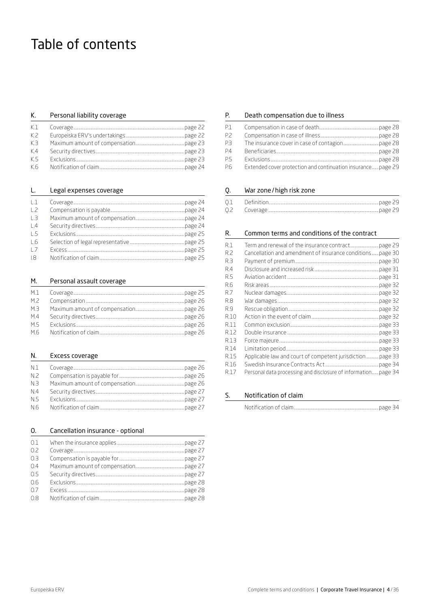# Table of contents

#### К. Personal liability coverage

| K.1 |  |
|-----|--|
| K.Z |  |
| K3  |  |
| K.4 |  |
| K.5 |  |
| K.6 |  |

#### Legal expenses coverage L.

| $\perp$          |  |
|------------------|--|
| $\frac{1}{2}$    |  |
| $\perp$ 3        |  |
| $\vert$ 4        |  |
| $\overline{5}$   |  |
| $\overline{1.6}$ |  |
| $\overline{1}$   |  |
| -18              |  |

#### М. Personal assault coverage

| M.1 |  |
|-----|--|
| M.2 |  |
| M.3 |  |
| M.4 |  |
| M.5 |  |
| M.6 |  |

#### N. Excess coverage

| N.1 |  |
|-----|--|
| N.2 |  |
| N.3 |  |
| N.4 |  |
| N.5 |  |
| N.6 |  |

#### 0. Cancellation insurance - optional

| 0.1 |  |
|-----|--|
| 0.2 |  |
| 0.3 |  |
| 0.4 |  |
| 0.5 |  |
| 0.6 |  |
| 0.7 |  |
| 0.8 |  |

#### Р. Death compensation due to illness

| P.1       |                                                              |  |
|-----------|--------------------------------------------------------------|--|
| P.Z       |                                                              |  |
| P3        |                                                              |  |
| <b>P4</b> |                                                              |  |
| P.5       |                                                              |  |
| P.6       | Extended cover protection and continuation insurance page 29 |  |

#### War zone/high risk zone Q.

| 0.1 |  |
|-----|--|
|     |  |

#### R. Common terms and conditions of the contract

| R.1  |                                                                |  |
|------|----------------------------------------------------------------|--|
| R.2  | Cancellation and amendment of insurance conditions page 30     |  |
| R 3  |                                                                |  |
| R4   |                                                                |  |
| R.5  |                                                                |  |
| R.6  |                                                                |  |
| R7   |                                                                |  |
| R.8  |                                                                |  |
| R9   |                                                                |  |
| R.10 |                                                                |  |
| R.11 |                                                                |  |
| R.12 |                                                                |  |
| R.13 |                                                                |  |
| R.14 |                                                                |  |
| R.15 | Applicable law and court of competent jurisdiction page 33     |  |
| R.16 |                                                                |  |
| R.17 | Personal data processing and disclosure of information page 34 |  |

#### S. Notification of claim

|--|--|--|--|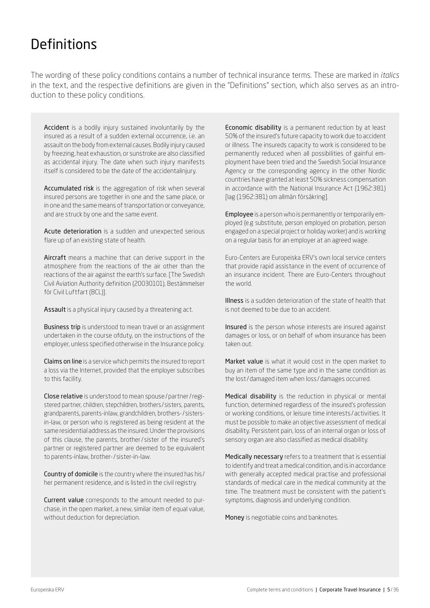# Definitions

The wording of these policy conditions contains a number of technical insurance terms. These are marked in *italics* in the text, and the respective definitions are given in the "Definitions" section, which also serves as an introduction to these policy conditions.

Accident is a bodily injury sustained involuntarily by the insured as a result of a sudden external occurrence, i.e. an assault on the body from external causes. Bodily injury caused by freezing, heat exhaustion, or sunstroke are also classified as accidental injury. The date when such injury manifests itself is considered to be the date of the accidentalinjury.

Accumulated risk is the aggregation of risk when several insured persons are together in one and the same place, or in one and the same means of transportation or conveyance, and are struck by one and the same event.

Acute deterioration is a sudden and unexpected serious flare up of an existing state of health.

Aircraft means a machine that can derive support in the atmosphere from the reactions of the air other than the reactions of the air against the earth's surface. [The Swedish Civil Aviation Authority definition (20030101), Bestämmelser för Civil Luftfart (BCL)].

Assault is a physical injury caused by a threatening act.

**Business trip** is understood to mean travel or an assignment undertaken in the course ofduty, on the instructions of the employer, unless specified otherwise in the Insurance policy.

Claims on line is a service which permits the insured to report a loss via the Internet, provided that the employer subscribes to this facility.

Close relative is understood to mean spouse/partner/registered partner, children, stepchildren, brothers / sisters, parents, grandparents, parents-inlaw, grandchildren, brothers-/ sistersin-law, or person who is registered as being resident at the same residential address as the insured. Under the provisions of this clause, the parents, brother/ sister of the insured's partner or registered partner are deemed to be equivalent to parents-inlaw, brother-/ sister-in-law.

Country of domicile is the country where the insured has his / her permanent residence, and is listed in the civil registry.

Current value corresponds to the amount needed to purchase, in the open market, a new, similar item of equal value, without deduction for depreciation.

Economic disability is a permanent reduction by at least 50% of the insured's future capacity to work due to accident or illness. The insureds capacity to work is considered to be permanently reduced when all possibilities of gainful employment have been tried and the Swedish Social Insurance Agency or the corresponding agency in the other Nordic countries have granted at least 50% sickness compensation in accordance with the National Insurance Act (1962:381) [lag (1962:381) om allmän försäkring].

Employee is a person who is permanently or temporarily employed (e.g substitute, person employed on probation, person engaged on a special project or holiday worker) and is working on a regular basis for an employer at an agreed wage.

Euro-Centers are Europeiska ERV's own local service centers that provide rapid assistance in the event of occurrence of an insurance incident. There are Euro-Centers throughout the world.

Illness is a sudden deterioration of the state of health that is not deemed to be due to an accident.

Insured is the person whose interests are insured against damages or loss, or on behalf of whom insurance has been taken out.

Market value is what it would cost in the open market to buy an item of the same type and in the same condition as the lost/damaged item when loss /damages occurred.

Medical disability is the reduction in physical or mental function, determined regardless of the insured's profession or working conditions, or leisure time interests / activities. It must be possible to make an objective assessment of medical disability. Persistent pain, loss of an internal organ or loss of sensory organ are also classified as medical disability.

Medically necessary refers to a treatment that is essential to identify and treat a medical condition, and is in accordance with generally accepted medical practise and professional standards of medical care in the medical community at the time. The treatment must be consistent with the patient's symptoms, diagnosis and underlying condition.

Money is negotiable coins and banknotes.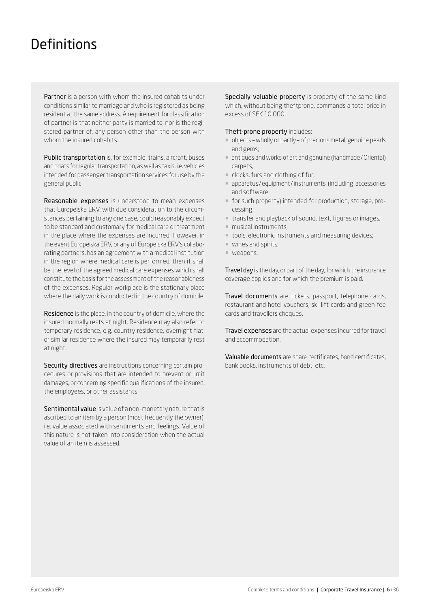# <span id="page-5-0"></span>**Definitions**

Partner is a person with whom the insured cohabits under conditions similar to marriage and who is registered as being resident at the same address. A requirement for classification of partner is that neither party is married to, nor is the registered partner of, any person other than the person with whom the insured cohabits.

Public transportation is, for example, trains, aircraft, buses and boats for regular transportation, as well as taxis, i.e. vehicles intended for passenger transportation services for use by the general public.

Reasonable expenses is understood to mean expenses that Europeiska ERV, with due consideration to the circumstances pertaining to any one case, could reasonably expect to be standard and customary for medical care or treatment in the place where the expenses are incurred. However, in the event Europeiska ERV, or any of Europeiska ERV's collaborating partners, has an agreement with a medical institution in the region where medical care is performed, then it shall be the level of the agreed medical care expenses which shall constitute the basis for the assessment of the reasonableness of the expenses. Regular workplace is the stationary place where the daily work is conducted in the country of domicile.

Residence is the place, in the country of domicile, where the insured normally rests at night. Residence may also refer to temporary residence, e.g. country residence, overnight flat, or similar residence where the insured may temporarily rest at night.

Security directives are instructions concerning certain procedures or provisions that are intended to prevent or limit damages, or concerning specific qualifications of the insured, the employees, or other assistants.

Sentimental value is value of a non-monetary nature that is ascribed to an item by a person (most frequently the owner), i.e. value associated with sentiments and feelings. Value of this nature is not taken into consideration when the actual value of an item is assessed.

Specially valuable property is property of the same kind which, without being theftprone, commands a total price in excess of SEK 10 000.

#### Theft-prone property includes:

- ¡ objects wholly or partly of precious metal, genuine pearls and gems;
- antiques and works of art and genuine (handmade / Oriental) carpets,
- ¡ clocks, furs and clothing of fur;
- ¡ apparatus /equipment/instruments (including accessories and software
- ¡ for such property) intended for production, storage, processing,
- ¡ transfer and playback of sound, text, figures or images;
- $\blacksquare$  musical instruments:
- tools, electronic instruments and measuring devices;
- $\blacksquare$  wines and spirits;
- ¡ weapons.

Travel day is the day, or part of the day, for which the insurance coverage applies and for which the premium is paid.

Travel documents are tickets, passport, telephone cards, restaurant and hotel vouchers, ski-lift cards and green fee cards and travellers cheques.

Travel expenses are the actual expenses incurred for travel and accommodation.

Valuable documents are share certificates, bond certificates, bank books, instruments of debt, etc.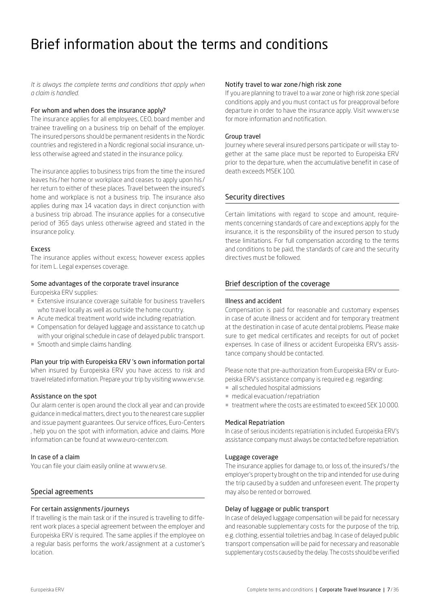# <span id="page-6-0"></span>Brief information about the terms and conditions

### *It is always the complete terms and conditions that apply when a claim is handled.*

#### For whom and when does the insurance apply?

The insurance applies for all employees, CEO, board member and trainee travelling on a business trip on behalf of the employer. The insured persons should be permanent residents in the Nordic countries and registered in a Nordic regional social insurance, unless otherwise agreed and stated in the insurance policy.

The insurance applies to business trips from the time the insured leaves his /her home or workplace and ceases to apply upon his / her return to either of these places. Travel between the insured's home and workplace is not a business trip. The insurance also applies during max 14 vacation days in direct conjunction with a business trip abroad. The insurance applies for a consecutive period of 365 days unless otherwise agreed and stated in the insurance policy.

#### Excess

The insurance applies without excess; however excess applies for item L. Legal expenses coverage.

# Some advantages of the corporate travel insurance

Europeiska ERV supplies:

- **Extensive insurance coverage suitable for business travellers** who travel locally as well as outside the home country.
- ¡ Acute medical treatment world wide including repatriation.
- ¡ Compensation for delayed luggage and assistance to catch up with your original schedule in case of delayed public transport.
- **Smooth and simple claims handling.**

# Plan your trip with Europeiska ERV 's own information portal

When insured by Europeiska ERV you have access to risk and travel related information. Prepare your trip by visiting [www.erv.se.](https://www.erv.se/foretag/)

#### Assistance on the spot

Our alarm center is open around the clock all year and can provide guidance in medical matters, direct you to the nearest care supplier and issue payment guarantees. Our service offices, Euro-Centers , help you on the spot with information, advice and claims. More information can be found at [www.euro-center.com.](https://www.euro-center.com/)

## In case of a claim

You can file your claim easily online at [www.erv.se.](https://www.erv.se/foretag/)

#### Special agreements

#### For certain assignments /journeys

If travelling is the main task or if the insured is travelling to different work places a special agreement between the employer and Europeiska ERV is required. The same applies if the employee on a regular basis performs the work/assignment at a customer's location.

#### Notify travel to war zone/high risk zone

If you are planning to travel to a war zone or high risk zone special conditions apply and you must contact us for preapproval before departure in order to have the insurance apply. Visit [www.erv.se](https://www.erv.se/foretag/)  for more information and notification.

#### Group travel

Journey where several insured persons participate or will stay together at the same place must be reported to Europeiska ERV prior to the departure, when the accumulative benefit in case of death exceeds MSEK 100.

#### Security directives

Certain limitations with regard to scope and amount, requirements concerning standards of care and exceptions apply for the insurance, it is the responsibility of the insured person to study these limitations. For full compensation according to the terms and conditions to be paid, the standards of care and the security directives must be followed.

#### Brief description of the coverage

#### Illness and accident

Compensation is paid for reasonable and customary expenses in case of acute illness or accident and for temporary treatment at the destination in case of acute dental problems. Please make sure to get medical certificates and receipts for out of pocket expenses. In case of illness or accident Europeiska ERV's assistance company should be contacted.

Please note that pre-authorization from Europeiska ERV or Europeiska ERV's assistance company is required e.g. regarding:

- ¡ all scheduled hospital admissions
- medical evacuation/repatriation
- ¡ treatment where the costs are estimated to exceed SEK 10 000.

#### Medical Repatriation

In case of serious incidents repatriation is included. Europeiska ERV's assistance company must always be contacted before repatriation.

#### Luggage coverage

The insurance applies for damage to, or loss of, the insured's /the employer's property brought on the trip and intended for use during the trip caused by a sudden and unforeseen event. The property may also be rented or borrowed.

## Delay of luggage or public transport

In case of delayed luggage compensation will be paid for necessary and reasonable supplementary costs for the purpose of the trip, e.g. clothing, essential toiletries and bag. In case of delayed public transport compensation will be paid for necessary and reasonable supplementary costs caused by the delay. The costs should be verified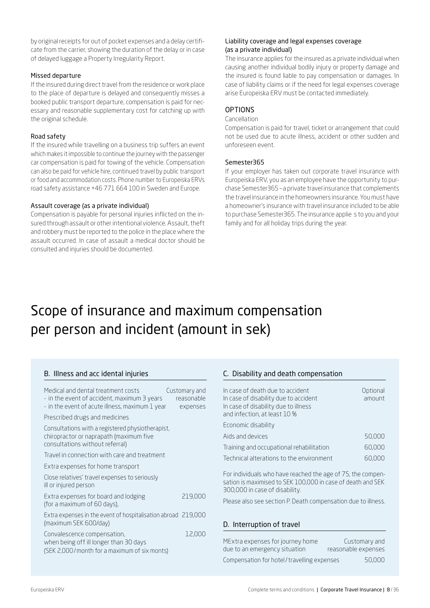by original receipts for out of pocket expenses and a delay certificate from the carrier, showing the duration of the delay or in case of delayed luggage a Property Irregularity Report.

# Missed departure

If the insured during direct travel from the residence or work place to the place of departure is delayed and consequently misses a booked public transport departure, compensation is paid for necessary and reasonable supplementary cost for catching up with the original schedule.

#### Road safety

If the insured while travelling on a business trip suffers an event which makes it impossible to continue the journey with the passenger car compensation is paid for towing of the vehicle. Compensation can also be paid for vehicle hire, continued travel by public transport or food and accommodation costs. Phone number to Europeiska ERVs road safety assistance +46 771 664 100 in Sweden and Europe.

#### Assault coverage (as a private individual)

B. Illness and acc idental injuries

Compensation is payable for personal injuries inflicted on the insured through assault or other intentional violence. Assault, theft and robbery must be reported to the police in the place where the assault occurred. In case of assault a medical doctor should be consulted and injuries should be documented.

#### Liability coverage and legal expenses coverage (as a private individual)

The insurance applies for the insured as a private individual when causing another individual bodily injury or property damage and the insured is found liable to pay compensation or damages. In case of liability claims or if the need for legal expenses coverage arise Europeiska ERV must be contacted immediately.

## **OPTIONS**

#### Cancellation

Compensation is paid for travel, ticket or arrangement that could not be used due to acute illness, accident or other sudden and unforeseen event.

#### Semester365

If your employer has taken out corporate travel insurance with Europeiska ERV, you as an employee have the opportunity to purchase Semester365 – a private travel insurance that complements the travel insurance in the homeowners insurance. You must have a homeowner's insurance with travel insurance included to be able to purchase Semester365. The insurance applie s to you and your family and for all holiday trips during the year.

# Scope of insurance and maximum compensation per person and incident (amount in sek)

| Medical and dental treatment costs<br>- in the event of accident, maximum 3 years<br>- in the event of acute illness, maximum 1 year | Customary and<br>reasonable<br>expenses |
|--------------------------------------------------------------------------------------------------------------------------------------|-----------------------------------------|
| Prescribed drugs and medicines                                                                                                       |                                         |
| Consultations with a registered physiotherapist,<br>chiropractor or naprapath (maximum five<br>consultations without referral)       |                                         |
| Travel in connection with care and treatment                                                                                         |                                         |
| Extra expenses for home transport                                                                                                    |                                         |
| Close relatives' travel expenses to seriously<br>ill or injured person                                                               |                                         |
| Extra expenses for board and lodging<br>(for a maximum of 60 days),                                                                  | 219,000                                 |
| Extra expenses in the event of hospitalisation abroad 219,000<br>(maximum SEK 600/day)                                               |                                         |
| Convalescence compensation,<br>when being off ill longer than 30 days<br>(SEK 2,000/month for a maximum of six monts)                | 12,000                                  |
|                                                                                                                                      |                                         |

#### C. Disability and death compensation

| In case of death due to accident<br>In case of disability due to accident<br>In case of disability due to illness<br>and infection, at least 10 % | Optional<br>amount |
|---------------------------------------------------------------------------------------------------------------------------------------------------|--------------------|
| Economic disability                                                                                                                               |                    |
| Aids and devices                                                                                                                                  | 50,000             |
| Training and occupational rehabilitation                                                                                                          | 60,000             |
| Technical alterations to the environment                                                                                                          | 60,000             |
|                                                                                                                                                   |                    |

For individuals who have reached the age of 75, the compensation is maximised to SEK 100,000 in case of death and SEK 300,000 in case of disability.

Please also see section P. Death compensation due to illness.

#### D. Interruption of travel

| MExtra expenses for journey home           | Customary and       |
|--------------------------------------------|---------------------|
| due to an emergency situation              | reasonable expenses |
| Compensation for hotel/travelling expenses | 50,000              |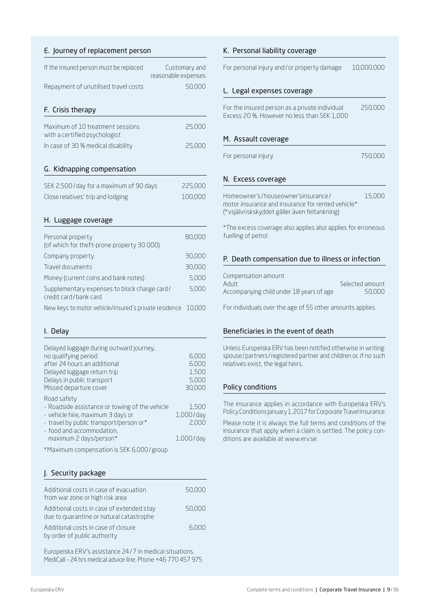# E. Journey of replacement person

| If the insured person must be replaced                                | Customary and<br>reasonable expenses<br>50,000 |
|-----------------------------------------------------------------------|------------------------------------------------|
| Repayment of unutilised travel costs                                  |                                                |
| F. Crisis therapy                                                     |                                                |
| Maximum of 10 treatment sessions<br>with a certified psychologist     | 25,000                                         |
| In case of 30 % medical disability                                    | 25,000                                         |
|                                                                       |                                                |
| G. Kidnapping compensation                                            |                                                |
| SEK 2,500/day for a maximum of 90 days                                | 225,000                                        |
| Close relatives' trip and lodging                                     | 100,000                                        |
|                                                                       |                                                |
| H. Luggage coverage                                                   |                                                |
| Personal property<br>(of which for theft-prone property 30 000)       | 80,000                                         |
| Company property                                                      | 30,000                                         |
| Travel documents                                                      | 30,000                                         |
| Money (current coins and bank notes)                                  | 5,000                                          |
| Supplementary expenses to block charge card/<br>credit card/bank card | 5,000                                          |
| New keys to motor vehicle/insured's private residence                 | 10,000                                         |
|                                                                       |                                                |

# I. Delay

| Delayed luggage during outward journey,<br>no qualifying period<br>after 24 hours an additional<br>Delayed luggage return trip<br>Delays in public transport<br>Missed departure cover               | 6,000<br>6,000<br>1,500<br>5,000<br>30,000  |
|------------------------------------------------------------------------------------------------------------------------------------------------------------------------------------------------------|---------------------------------------------|
| Road safety<br>- Roadside assistance or towing of the vehicle<br>- vehicle hire, maximum 3 days or<br>- travel by public transport/person or*<br>- food and accommodation,<br>maximum 2 days/person* | 1,500<br>$1,000$ /day<br>2,000<br>1,000/day |

\*Maximum compensation is SEK 6,000/group

# J. Security package

| Additional costs in case of evacuation<br>from war zone or high risk area             | 50,000 |
|---------------------------------------------------------------------------------------|--------|
| Additional costs in case of extended stay<br>due to quarantine or natural catastrophe | 50,000 |
| Additional costs in case of closure<br>by order of public authority                   | 6,000  |

Europeiska ERV's assistance 24/7 in medical situations. MediCall – 24 hrs medical advice line. Phone +46 770 457 975

| K. Personal liability coverage                                                                                                           |            |
|------------------------------------------------------------------------------------------------------------------------------------------|------------|
| For personal injury and/or property damage                                                                                               | 10,000,000 |
| L. Legal expenses coverage                                                                                                               |            |
| For the insured person as a private individual<br>Excess 20 %. However no less than SEK 1,000                                            | 250,000    |
| M. Assault coverage                                                                                                                      |            |
| For personal injury                                                                                                                      | 750,000    |
| N. Excess coverage                                                                                                                       |            |
| Homeowner's/houseowner'sinsurance/<br>motor insurance and insurance for rented vehicle*<br>(* vsjälvriskskyddet gäller även feltankning) | 15,000     |
| *The excess coverage also applies also applies for erroneous<br>fuelling of petrol                                                       |            |
| P. Death compensation due to illness or infection                                                                                        |            |
| Componention amount                                                                                                                      |            |

Compensation amount Adult **Selected amount** Accompanying child under 18 years of age 50,000

For individuals over the age of 55 other amounts applies.

# Beneficiaries in the event of death

Unless Europeiska ERV has been notified otherwise in writing: spouse/partners /registered partner and children or, if no such relatives exist, the legal heirs.

# Policy conditions

The insurance applies in accordance with Europeiska ERV's Policy Conditions January 1, 2017 for Corporate Travel Insurance.

Please note it is always the full terms and conditions of the insurance that apply when a claim is settled. The policy conditions are available at www.erv.se.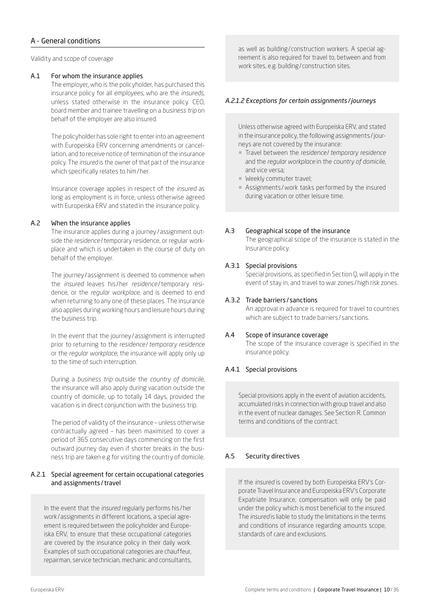# A - General conditions

Validity and scope of coverage

### <span id="page-9-0"></span>A.1 For whom the insurance applies

The employer, who is the policyholder, has purchased this insurance policy for all *employees*, who are the *insureds*, unless stated otherwise in the insurance policy. CEO, board member and trainee travelling on a *business trip* on behalf of the employer are also insured.

The policyholder has sole right to enter into an agreement with Europeiska ERV concerning amendments or cancellation, and to receive notice of termination of the insurance policy. The *insured* is the owner of that part of the insurance which specifically relates to him/her.

Insurance coverage applies in respect of the *insured* as long as employment is in force, unless otherwise agreed with Europeiska ERV and stated in the insurance policy.

# <span id="page-9-1"></span>A.2 When the insurance applies

The insurance applies during a journey / assignment outside the *residence*/temporary residence, or regular workplace and which is undertaken in the course of duty on behalf of the employer.

The journey / assignment is deemed to commence when the *insured* leaves his /her *residence*/temporary residence, or the *regular workplace*, and is deemed to end when returning to any one of these places. The insurance also applies during working hours and leisure hours during the business trip.

In the event that the journey / assignment is interrupted prior to returning to the *residence*/*temporary residence* or the *regular workplace*, the insurance will apply only up to the time of such interruption.

During a *business trip* outside the *country of domicile*, the insurance will also apply during vacation outside the country of domicile, up to totally 14 days, provided the vacation is in direct conjunction with the business trip.

The period of validity of the insurance – unless otherwise contractually agreed – has been maximised to cover a period of 365 consecutive days commencing on the first outward journey day even if shorter breaks in the business trip are taken e.g for visiting the country of domicile.

# A.2.1 Special agreement for certain occupational categories and assignments/travel

In the event that the *insured* regularly performs his /her work / assignments in different locations, a special agreement is required between the policyholder and Europeiska ERV, to ensure that these occupational categories are covered by the insurance policy in their daily work. Examples of such occupational categories are chauffeur, repairman, service technician, mechanic and consultants,

as well as building/ construction workers. A special agreement is also required for travel to, between and from work sites, e.g. building/ construction sites.

# *A.2.1.2 Exceptions for certain assignments /journeys*

Unless otherwise agreed with Europeiska ERV, and stated in the insurance policy, the following assignments /journeys are not covered by the insurance:

- ¡ Travel between the *residence*/*temporary residence* and the *regular workplace* in the *country of domicile*, and vice versa;
- ¡ Weekly commuter travel;
- ¡ Assignments /work tasks performed by the insured during vacation or other leisure time.

# <span id="page-9-2"></span>A.3 Geographical scope of the insurance

The geographical scope of the insurance is stated in the Insurance policy.

## A.3.1 Special provisions

Special provisions, as specified in Section Q, will apply in the event of stay in, and travel to war zones /high risk zones.

#### A.3.2 Trade barriers / sanctions

An approval in advance is required for travel to countries which are subject to trade barriers / sanctions.

#### <span id="page-9-3"></span>A.4 Scope of insurance coverage

The scope of the insurance coverage is specified in the insurance policy.

# A.4.1 Special provisions

Special provisions apply in the event of aviation accidents, accumulated risks in connection with group travel and also in the event of nuclear damages. See Section R. Common terms and conditions of the contract.

# <span id="page-9-4"></span>A.5 Security directives

If the *insured* is covered by both Europeiska ERV's Corporate Travel Insurance and Europeiska ERV's Corporate Expatriate Insurance, compensation will only be paid under the policy which is most beneficial to the insured. The *insured* is liable to study the limitations in the terms and conditions of insurance regarding amounts scope, standards of care and exclusions.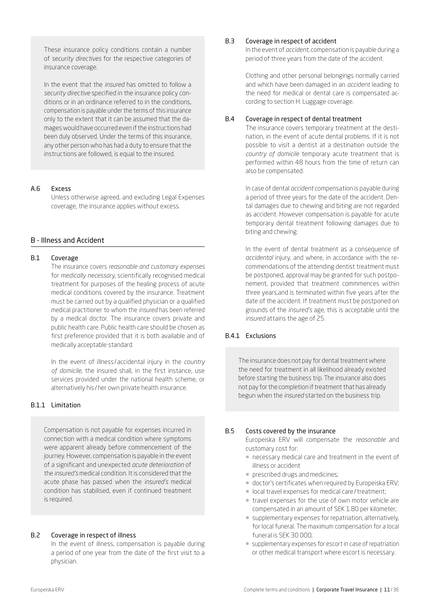These insurance policy conditions contain a number of *security directives* for the respective categories of insurance coverage.

In the event that the *insured* has omitted to follow a *security directive* specified in the insurance policy conditions or in an ordinance referred to in the conditions, compensation is payable under the terms of this insurance only to the extent that it can be assumed that the damages would have occurred even if the instructions had been duly observed. Under the terms of this insurance, any other person who has had a duty to ensure that the instructions are followed, is equal to the insured.

#### <span id="page-10-0"></span>A.6 Excess

Unless otherwise agreed, and excluding Legal Expenses coverage, the insurance applies without excess.

# B - Illness and Accident

# <span id="page-10-1"></span>B.1 Coverage

The insurance covers *reasonable and customary expenses* for *medically necessary*, scientifically recognised medical treatment for purposes of the healing process of acute medical conditions covered by the insurance. Treatment must be carried out by a qualified physician or a qualified medical practitioner to whom the *insured* has been referred by a medical doctor. The insurance covers private and public health care. Public health care should be chosen as first preference provided that it is both available and of medically acceptable standard.

In the event of illness / accidental injury in the *country of domicile*, the insured shall, in the first instance, use services provided under the national health scheme, or alternatively his /her own private health insurance.

#### B.1.1 Limitation

Compensation is not payable for expenses incurred in connection with a medical condition where symptoms were apparent already before commencement of the journey. However, compensation is payable in the event of a significant and unexpected *acute deterioration* of the *insured's* medical condition. It is considered that the acute phase has passed when the *insured's* medical condition has stabilised, even if continued treatment is required.

#### <span id="page-10-2"></span>B.2 Coverage in respect of illness

In the event of illness, compensation is payable during a period of one year from the date of the first visit to a physician.

#### <span id="page-10-3"></span>B.3 Coverage in respect of accident

In the event of *accident*, compensation is payable during a period of three years from the date of the accident.

Clothing and other personal belongings normally carried and which have been damaged in an *accident* leading to the need for medical or dental care is compensated according to section H. Luggage coverage.

### <span id="page-10-4"></span>B.4 Coverage in respect of dental treatment

The insurance covers temporary treatment at the destination, in the event of acute dental problems. If it is not possible to visit a dentist at a destination outside the *country of domicile* temporary acute treatment that is performed within 48 hours from the time of return can also be compensated.

In case of dental *accident* compensation is payable during a period of three years for the date of the accident. Dental damages due to chewing and biting are not regarded as accident. However compensation is payable for acute temporary dental treatment following damages due to biting and chewing.

In the event of dental treatment as a consequence of *accidental* injury, and where, in accordance with the recommendations of the attending dentist treatment must be postponed, approval may be granted for such postponement, provided that treatment commmences within three years,and is terminated within five years after the date of the accident. If treatment must be postponed on grounds of the *insured's* age, this is acceptable until the *insured* attains the age of 25.

# B.4.1 Exclusions

The insurance does not pay for dental treatment where the need for treatment in all likelihood already existed before starting the business trip. The insurance also does not pay for the completion if treatment that has already begun when the *insured* started on the business trip.

# <span id="page-10-5"></span>B.5 Costs covered by the insurance

Europeiska ERV will compensate the *reasonable* and customary cost for:

- ¡ necessary medical care and treatment in the event of illness or accident
- **prescribed drugs and medicines;**
- ¡ doctor's certificates when required by Europeiska ERV;
- local travel expenses for medical care/treatment;
- ¡ travel expenses for the use of own motor vehicle are compensated in an amount of SEK 1.80 per kilometer;
- ¡ supplementary expenses for repatriation, alternatively, for local funeral. The maximum compensation for a local funeral is SEK 30 000;
- ¡ supplementary expenses for escort in case of repatriation or other medical transport where escort is necessary.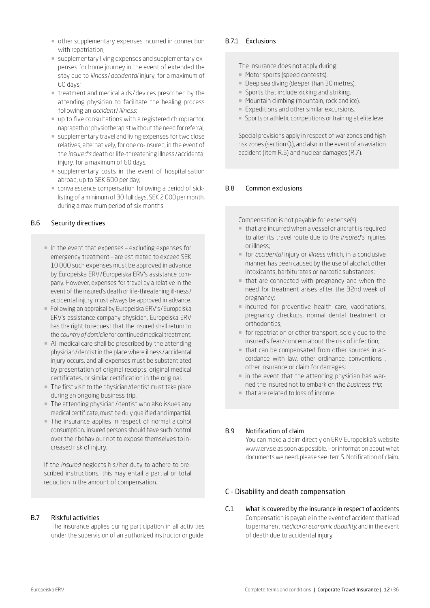- other supplementary expenses incurred in connection with repatriation;
- ¡ supplementary living expenses and supplementary expenses for home journey in the event of extended the stay due to *illness* /*accidental* injury, for a maximum of 60 days;
- treatment and medical aids / devices prescribed by the attending physician to facilitate the healing process following an *accident*/*illness*;
- up to five consultations with a registered chiropractor, naprapath or physiotherapist without the need for referral;
- ¡ supplementary travel and living expenses for two close relatives, alternatively, for one co-insured, in the event of the *insured's* death or life-threatening illness / accidental injury, for a maximum of 60 days;
- ¡ supplementary costs in the event of hospitalisation abroad, up to SEK 600 per day;
- ¡ convalescence compensation following a period of sicklisting of a minimum of 30 full days, SEK 2 000 per month, during a maximum period of six months.

# <span id="page-11-0"></span>B.6 Security directives

- ¡ In the event that expenses excluding expenses for emergency treatment – are estimated to exceed SEK 10 000 such expenses must be approved in advance by Europeiska ERV/Europeiska ERV's assistance company. However, expenses for travel by a relative in the event of the insured's death or life-threatening ill-ness / accidental injury, must always be approved in advance.
- ¡ Following an appraisal by Europeiska ERV's /Europeiska ERV's assistance company physician, Europeiska ERV has the right to request that the insured shall return to the *country of domicile* for continued medical treatment.
- ¡ All medical care shall be prescribed by the attending physician/dentist in the place where illness /accidental injury occurs, and all expenses must be substantiated by presentation of original receipts, original medical certificates, or similar certification in the original.
- The first visit to the physician/dentist must take place during an ongoing business trip.
- The attending physician/dentist who also issues any medical certificate, must be duly qualified and impartial.
- ¡ The insurance applies in respect of normal alcohol consumption. Insured persons should have such control over their behaviour not to expose themselves to increased risk of injury.

If the *insured* neglects his /her duty to adhere to prescribed instructions, this may entail a partial or total reduction in the amount of compensation.

# <span id="page-11-1"></span>B.7 Riskful activities

The insurance applies during participation in all activities under the supervision of an authorized instructor or guide.

# B.7.1 Exclusions

The insurance does not apply during:

- ¡ Motor sports (speed contests).
- Deep sea diving (deeper than 30 metres).
- Sports that include kicking and striking.
- Mountain climbing (mountain, rock and ice).
- Expeditions and other similar excursions.
- ¡ Sports or athletic competitions or training at elite level.

Special provisions apply in respect of war zones and high risk zones (section Q.), and also in the event of an aviation accident (item R.5) and nuclear damages (R.7).

# <span id="page-11-2"></span>B.8 Common exclusions

Compensation is not payable for expense(s):

- ¡ that are incurred when a vessel or aircraft is required to alter its travel route due to the *insured's* injuries or illness;
- ¡ for *accidental* injury or *illness* which, in a conclusive manner, has been caused by the use of alcohol, other intoxicants, barbiturates or narcotic substances;
- that are connected with pregnancy and when the need for treatment arises after the 32nd week of pregnancy;
- ¡ incurred for preventive health care, vaccinations, pregnancy checkups, normal dental treatment or orthodontics;
- ¡ for repatriation or other transport, solely due to the insured's fear/ concern about the risk of infection;
- ¡ that can be compensated from other sources in accordance with law, other ordinance, conventions , other insurance or claim for damages;
- $\blacksquare$  in the event that the attending physician has warned the insured not to embark on the *business trip*;
- that are related to loss of income.

# <span id="page-11-3"></span>B.9 Notification of claim

You can make a claim directly on ERV Europeiska's website [www.erv.se](https://www.erv.se/foretag/) as soon as possible. For information about what documents we need, please see item S. Notification of claim.

# C - Disability and death compensation

<span id="page-11-4"></span>C.1 What is covered by the insurance in respect of accidents Compensation is payable in the event of accident that lead to permanent *medical or economic disability*, and in the event of death due to accidental injury.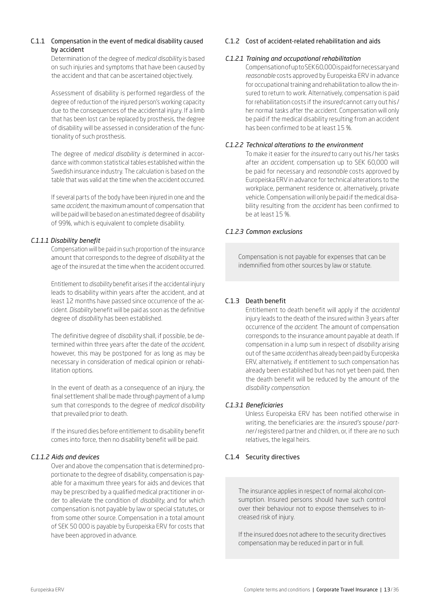# C.1.1 Compensation in the event of medical disability caused by accident

Determination of the degree of *medical disability* is based on such injuries and symptoms that have been caused by the accident and that can be ascertained objectively.

Assessment of disability is performed regardless of the degree of reduction of the injured person's working capacity due to the consequences of the accidental injury. If a limb that has been lost can be replaced by prosthesis, the degree of disability will be assessed in consideration of the functionality of such prosthesis.

The degree of *medical disability is* determined in accordance with common statistical tables established within the Swedish insurance industry. The calculation is based on the table that was valid at the time when the accident occurred.

If several parts of the body have been injured in one and the same *accident*, the maximum amount of compensation that will be paid will be based on an estimated degree of disability of 99%, which is equivalent to complete disability.

# *C.1.1.1 Disability benefit*

Compensation will be paid in such proportion of the insurance amount that corresponds to the degree of *disability* at the age of the insured at the time when the accident occurred.

Entitlement to *disability* benefit arises if the accidental injury leads to disability within years after the accident, and at least 12 months have passed since occurrence of the accident. *Disability* benefit will be paid as soon as the definitive degree of *disability* has been established.

The definitive degree of *disability* shall, if possible, be determined within three years after the date of the *accident*, however, this may be postponed for as long as may be necessary in consideration of medical opinion or rehabilitation options.

In the event of death as a consequence of an injury, the final settlement shall be made through payment of a lump sum that corresponds to the degree of *medical disability*  that prevailed prior to death.

If the insured dies before entitlement to disability benefit comes into force, then no disability benefit will be paid.

# *C.1.1.2 Aids and devices*

Over and above the compensation that is determined proportionate to the degree of disability, compensation is payable for a maximum three years for aids and devices that may be prescribed by a qualified medical practitioner in order to alleviate the condition of *disability*, and for which compensation is not payable by law or special statutes, or from some other source. Compensation in a total amount of SEK 50 000 is payable by Europeiska ERV for costs that have been approved in advance.

# C.1.2 Cost of accident-related rehabilitation and aids

# *C.1.2.1 Training and occupational rehabilitation*

Compensation of up to SEK 60,000 is paid for necessary and *reasonable* costs approved by Europeiska ERV in advance for occupational training and rehabilitation to allow the insured to return to work. Alternatively, compensation is paid for rehabilitation costs if the *insured* cannot carry out his / her normal tasks after the accident. Compensation will only be paid if the medical disability resulting from an accident has been confirmed to be at least 15 %.

# *C.1.2.2 Technical alterations to the environment*

To make it easier for the *insured* to carry out his /her tasks after an *accident*, compensation up to SEK 60,000 will be paid for necessary and *reasonable* costs approved by Europeiska ERV in advance for technical alterations to the workplace, permanent residence or, alternatively, private vehicle. Compensation will only be paid if the medical disability resulting from the *accident* has been confirmed to be at least 15 %.

# *C.1.2.3 Common exclusions*

Compensation is not payable for expenses that can be indemnified from other sources by law or statute.

# C.1.3 Death benefit

Entitlement to death benefit will apply if the *accidental* injury leads to the death of the insured within 3 years after occurrence of the *accident*. The amount of compensation corresponds to the insurance amount payable at death. If compensation in a lump sum in respect of *disability* arising out of the same *accident* has already been paid by Europeiska ERV, alternatively, if entitlement to such compensation has already been established but has not yet been paid, then the death benefit will be reduced by the amount of the *disability compensation*.

# *C.1.3.1 Beneficiaries*

Unless Europeiska ERV has been notified otherwise in writing, the beneficiaries are: the *insured's* spouse/*partner*/registered partner and children, or, if there are no such relatives, the legal heirs.

# C.1.4 Security directives

The insurance applies in respect of normal alcohol consumption. Insured persons should have such control over their behaviour not to expose themselves to increased risk of injury.

If the insured does not adhere to the security directives compensation may be reduced in part or in full.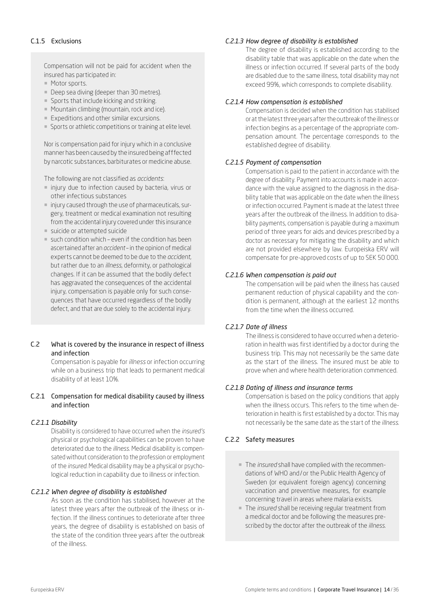# C.1.5 Exclusions

Compensation will not be paid for accident when the insured has participated in:

- Motor sports.
- Deep sea diving (deeper than 30 metres).
- Sports that include kicking and striking.
- Mountain climbing (mountain, rock and ice).
- Expeditions and other similar excursions.
- ¡ Sports or athletic competitions or training at elite level.

Nor is compensation paid for injury which in a conclusive manner has been caused by the insured being afffected by narcotic substances, barbiturates or medicine abuse.

The following are not classified as *accidents*:

- injury due to infection caused by bacteria, virus or other infectious substances
- ¡ injury caused through the use of pharmaceuticals, surgery, treatment or medical examination not resulting from the accidental injury covered under this insurance
- ¡ suicide or attempted suicide
- $\blacksquare$  such condition which even if the condition has been ascertained after an *accident* – in the opinion of medical experts cannot be deemed to be due to the *accident*, but rather due to an *illness*, deformity, or pathological changes. If it can be assumed that the bodily defect has aggravated the consequences of the accidental injury, compensation is payable only for such consequences that have occurred regardless of the bodily defect, and that are due solely to the accidental injury.

# <span id="page-13-0"></span>C.2 What is covered by the insurance in respect of illness and infection

Compensation is payable for *illness* or infection occurring while on a business trip that leads to permanent medical disability of at least 10%.

# C.2.1 Compensation for medical disability caused by illness and infection

# *C.2.1.1 Disability*

Disability is considered to have occurred when the *insured's* physical or psychological capabilities can be proven to have deteriorated due to the *illness*. Medical disability is compensated without consideration to the profession or employment of the *insured*. Medical disability may be a physical or psychological reduction in capability due to illness or infection.

# *C.2.1.2 When degree of disability is established*

As soon as the condition has stabilised, however at the latest three years after the outbreak of the illness or infection. If the illness continues to deteriorate after three years, the degree of disability is established on basis of the state of the condition three years after the outbreak of the illness.

# *C.2.1.3 How degree of disability is established*

The degree of disability is established according to the disability table that was applicable on the date when the illness or infection occurred. If several parts of the body are disabled due to the same illness, total disability may not exceed 99%, which corresponds to complete disability.

## *C.2.1.4 How compensation is established*

Compensation is decided when the condition has stabilised or at the latest three years after the outbreak of the illness or infection begins as a percentage of the appropriate compensation amount. The percentage corresponds to the established degree of disability.

# *C.2.1.5 Payment of compensation*

Compensation is paid to the patient in accordance with the degree of disability. Payment into accounts is made in accordance with the value assigned to the diagnosis in the disability table that was applicable on the date when the illness or infection occurred. Payment is made at the latest three years after the outbreak of the illness. In addition to disability payments, compensation is payable during a maximum period of three years for aids and devices prescribed by a doctor as necessary for mitigating the disability and which are not provided elsewhere by law. Europeiska ERV will compensate for pre-approved costs of up to SEK 50 000.

# *C.2.1.6 When compensation is paid out*

The compensation will be paid when the illness has caused permanent reduction of physical capability and the condition is permanent, although at the earliest 12 months from the time when the illness occurred.

# *C.2.1.7 Date of illness*

The illness is considered to have occurred when a deterioration in health was first identified by a doctor during the business trip. This may not necessarily be the same date as the start of the illness. The insured must be able to prove when and where health deterioration commenced.

#### *C.2.1.8 Dating of illness and insurance terms*

Compensation is based on the policy conditions that apply when the illness occurs. This refers to the time when deterioration in health is first established by a doctor. This may not necessarily be the same date as the start of the *illness*.

# C.2.2 Safety measures

- ¡ The *insured* shall have complied with the recommendations of WHO and/or the Public Health Agency of Sweden (or equivalent foreign agency) concerning vaccination and preventive measures, for example concerning travel in areas where malaria exists.
- ¡ The *insured* shall be receiving regular treatment from a medical doctor and be following the measures prescribed by the doctor after the outbreak of the *illness*.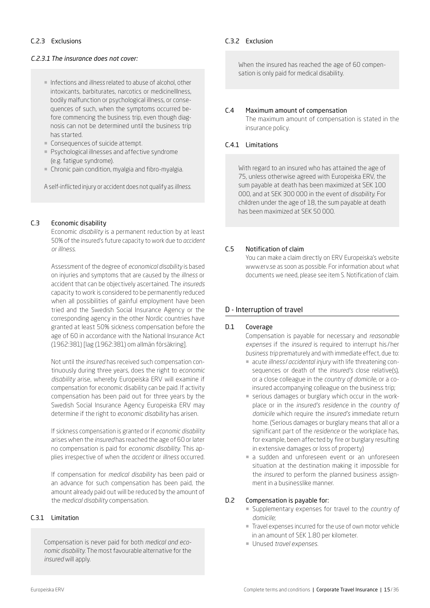# C.2.3 Exclusions

# *C.2.3.1 The insurance does not cover:*

- ¡ Infections and *illness* related to abuse of alcohol, other intoxicants, barbiturates, narcotics or medicineIllness, bodily malfunction or psychological illness, or consequences of such, when the symptoms occurred before commencing the business trip, even though diagnosis can not be determined until the business trip has started.
- ¡ Consequences of suicide attempt.
- **Psychological illnesses and affective syndrome** (e.g. fatigue syndrome).
- ¡ Chronic pain condition, myalgia and fibro-myalgia.

A self-inflicted injury or accident does not qualify as *illness*.

#### <span id="page-14-0"></span>C.3 Economic disability

Economic *disability* is a permanent reduction by at least 50% of the insured's future capacity to work due to *accident or illness*.

Assessment of the degree of *economical disability* is based on injuries and symptoms that are caused by the *illness* or accident that can be objectively ascertained. The *insureds* capacity to work is considered to be permanently reduced when all possibilities of gainful employment have been tried and the Swedish Social Insurance Agency or the corresponding agency in the other Nordic countries have granted at least 50% sickness compensation before the age of 60 in accordance with the National Insurance Act (1962:381) [lag (1962:381) om allmän försäkring].

Not until the *insured* has received such compensation continuously during three years, does the right to *economic disability* arise, whereby Europeiska ERV will examine if compensation for economic disability can be paid. If activity compensation has been paid out for three years by the Swedish Social Insurance Agency Europeiska ERV may determine if the right to *economic disability* has arisen.

If sickness compensation is granted or if *economic disability* arises when the *insured* has reached the age of 60 or later no compensation is paid for *economic disability*. This applies irrespective of when the *accident* or *illness* occurred.

If compensation for *medical disability* has been paid or an advance for such compensation has been paid, the amount already paid out will be reduced by the amount of the *medical disability* compensation.

# C.3.1 Limitation

Compensation is never paid for both *medical and economic disability*. The most favourable alternative for the *insured* will apply.

## C.3.2 Exclusion

When the insured has reached the age of 60 compensation is only paid for medical disability.

## <span id="page-14-1"></span>C.4 Maximum amount of compensation

The maximum amount of compensation is stated in the insurance policy.

# C.4.1 Limitations

With regard to an insured who has attained the age of 75, unless otherwise agreed with Europeiska ERV, the sum payable at death has been maximized at SEK 100 000, and at SEK 300 000 in the event of *disability*. For children under the age of 18, the sum payable at death has been maximized at SEK 50 000.

# <span id="page-14-2"></span>C.5 Notification of claim

You can make a claim directly on ERV Europeiska's website [www.erv.se](https://www.erv.se/foretag/) as soon as possible. For information about what documents we need, please see item S. Notification of claim.

# D - Interruption of travel

# <span id="page-14-3"></span>D.1 Coverage

Compensation is payable for necessary and *reasonable expenses* if the *insured* is required to interrupt his /her *business trip* prematurely and with immediate effect, due to:

- ¡ acute *illness* /*accidental injury* with life threatening consequences or death of the *insured's* close relative(s), or a close colleague in the *country of domicile*, or a coinsured accompanying colleague on the business trip;
- ¡ serious damages or burglary which occur in the workplace or in the *insured's residence* in the *country of domicile* which require the *insured's* immediate return home. (Serious damages or burglary means that all or a significant part of the *residence* or the workplace has, for example, been affected by fire or burglary resulting in extensive damages or loss of property)
- $\blacksquare$  a sudden and unforeseen event or an unforeseen situation at the destination making it impossible for the *insured* to perform the planned business assignment in a businesslike manner.

# <span id="page-14-4"></span>D.2 Compensation is payable for:

- ¡ Supplementary expenses for travel to the *country of domicile*;
- Travel expenses incurred for the use of own motor vehicle in an amount of SEK 1.80 per kilometer.
- ¡ Unused *travel expenses*.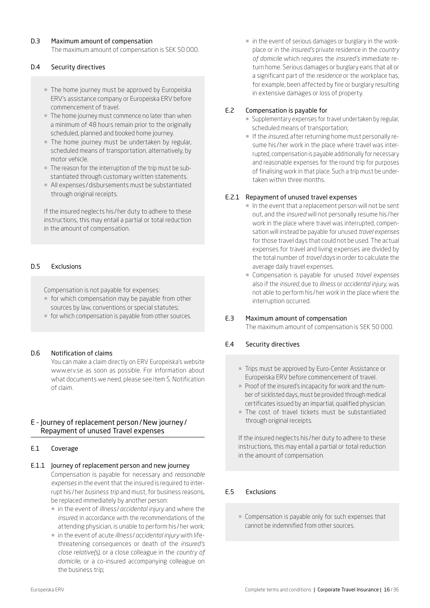# <span id="page-15-0"></span>D.3 Maximum amount of compensation

The maximum amount of compensation is SEK 50 000.

# <span id="page-15-1"></span>D.4 Security directives

- ¡ The home journey must be approved by Europeiska ERV's assistance company or Europeiska ERV before commencement of travel.
- ¡ The home journey must commence no later than when a minimum of 48 hours remain prior to the originally scheduled, planned and booked home journey.
- The home journey must be undertaken by regular, scheduled means of transportation, alternatively, by motor vehicle.
- ¡ The reason for the interruption of the trip must be substantiated through customary written statements.
- ¡ All expenses /disbursements must be substantiated through original receipts.

If the insured neglects his /her duty to adhere to these instructions, this may entail a partial or total reduction in the amount of compensation.

# <span id="page-15-2"></span>D.5 Exclusions

Compensation is not payable for expenses:

- ¡ for which compensation may be payable from other sources by law, conventions or special statutes;
- ¡ for which compensation is payable from other sources.

#### <span id="page-15-3"></span>D.6 Notification of claims

You can make a claim directly on ERV Europeiska's website [www.erv.se](https://www.erv.se/foretag/) as soon as possible. For information about what documents we need, please see item S. Notification of claim.

# E - Journey of replacement person/New journey/ Repayment of unused Travel expenses

#### <span id="page-15-4"></span>E.1 Coverage

E.1.1 Journey of replacement person and new journey

Compensation is payable for necessary and *reasonable expenses* in the event that the insured is required to interrupt his /her *business trip* and must, for business reasons, be replaced immediately by another person:

- ¡ in the event of *illness* /*accidental injury* and where the *insured*, in accordance with the recommendations of the attending physician, is unable to perform his /her work;
- in the event of acute *illness/ accidental injury* with lifethreatening consequences or death of the *insured's close relative(s)*, or a close colleague in the *country of domicile*, or a co-insured accompanying colleague on the business trip;

 $\blacksquare$  in the event of serious damages or burglary in the workplace or in the *insured's* private residence in the *country of domicile* which requires the *insured's* immediate return home. Serious damages or burglary eans that all or a significant part of the *residence* or the workplace has, for example, been affected by fire or burglary resulting in extensive damages or loss of property.

# <span id="page-15-5"></span>E.2 Compensation is payable for

- ¡ Supplementary expenses for travel undertaken by regular, scheduled means of transportation;
- ¡ If the *insured*, after returning home must personally resume his / her work in the place where travel was interrupted, compensation is payable additionally for necessary and reasonable expenses for the round trip for purposes of finalising work in that place. Such a trip must be undertaken within three months.

# E.2.1 Repayment of unused travel expenses

- ¡ In the event that a replacement person will not be sent out, and the *insured* will not personally resume his /her work in the place where travel was interrupted, compensation will instead be payable for unused *travel expenses* for those travel days that could not be used. The actual expenses for travel and living expenses are divided by the total number of *travel days* in order to calculate the average daily travel expenses.
- ¡ Compensation is payable for unused *travel expenses* also if the *insured*, due to *illness* or *accidental injury*, was not able to perform his /her work in the place where the interruption occurred.

#### <span id="page-15-6"></span>E.3 Maximum amount of compensation

The maximum amount of compensation is SEK 50 000.

# <span id="page-15-7"></span>E.4 Security directives

- ¡ Trips must be approved by Euro-Center Assistance or Europeiska ERV before commencement of travel.
- ¡ Proof of the insured's incapacity for work and the number of sicklisted days, must be provided through medical certificates issued by an impartial, qualified physician.
- The cost of travel tickets must be substantiated through original receipts.

If the insured neglects his /her duty to adhere to these instructions, this may entail a partial or total reduction in the amount of compensation.

# <span id="page-15-8"></span>E.5 Exclusions

¡ Compensation is payable only for such expenses that cannot be indemnified from other sources.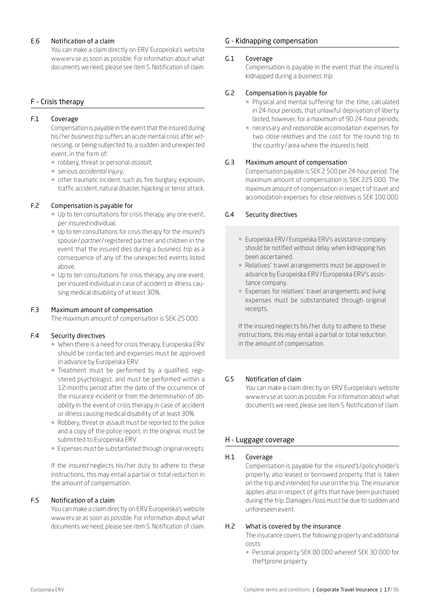# <span id="page-16-0"></span>E.6 Notification of a claim

You can make a claim directly on ERV Europeiska's website [www.erv.se](https://www.erv.se/foretag/) as soon as possible. For information about what documents we need, please see item S. Notification of claim.

# F - Crisis therapy

# <span id="page-16-1"></span>F.1 Coverage

Compensation is payable in the event that the insured during his /her *business trip* suffers an acute mental crisis after witnessing, or being subjected to, a sudden and unexpected event, in the form of:

- ¡ robbery, threat or personal *assault*;
- ¡ serious *accidental* injury;
- ¡ other traumatic incident, such as, fire, burglary, explosion, traffic accident, natural disaster, hijacking or terror attack.

# <span id="page-16-2"></span>F.2 Compensation is payable for

- ¡ Up to ten consultations for crisis therapy, any one event, per *insured* individual;
- ¡ Up to ten consultations for crisis therapy for the *insured's* spouse/*partner*/registered partner and children in the event that the insured dies during a *business trip* as a consequence of any of the unexpected events listed above.
- $\blacksquare$  Up to ten consultations for crisis therapy, any one event, per insured individual in case of accident or illness causing medical disability of at least 30%.

#### <span id="page-16-3"></span>F.3 Maximum amount of compensation

The maximum amount of compensation is SEK 25 000.

#### <span id="page-16-4"></span>F.4 Security directives

- ¡ When there is a need for crisis therapy, Europeiska ERV should be contacted and expenses must be approved in advance by Europeiska ERV.
- ¡ Treatment must be performed by a qualified, registered psychologist, and must be performed within a 12-months period after the date of the occurrence of the insurance incident or from the determination of *disability* in the event of crisis therapy in case of accident or *illness* causing medical disability of at least 30%.
- ¡ Robbery, threat or assault must be reported to the police and a copy of the police report, in the original, must be submitted to Europeiska ERV.
- ¡ Expenses must be substantiated through original receipts.

If the *insured* neglects his /her duty to adhere to these instructions, this may entail a partial or total reduction in the amount of compensation.

#### <span id="page-16-5"></span>F.5 Notification of a claim

You can make a claim directly on ERV Europeiska's website [www.erv.se](https://www.erv.se/foretag/) as soon as possible. For information about what documents we need, please see item S. Notification of claim.

# G - Kidnapping compensation

#### <span id="page-16-6"></span>G.1 Coverage

Compensation is payable in the event that the *insured* is kidnapped during a *business trip*.

# <span id="page-16-7"></span>G.2 Compensation is payable for

- ¡ Physical and mental suffering for the time, calculated in 24-hour periods, that unlawful deprivation of liberty lasted, however, for a maximum of 90 24-hour periods;
- ¡ necessary and *reasonable* accomodation expenses for two *close relatives* and the cost for the round trip to the country / area where the *insured* is held.

# <span id="page-16-8"></span>G.3 Maximum amount of compensation

Compensation payable is SEK 2 500 per 24-hour period. The maximum amount of compensation is SEK 225 000. The maximum amount of compensation in respect of travel and accomodation expenses for *close relatives* is SEK 100 000.

# <span id="page-16-9"></span>G.4 Security directives

- Europeiska ERV/Europeiska ERV's assistance company should be notified without delay when kidnapping has been ascertained.
- ¡ Relatives' travel arrangements must be approved in advance by Europeiska ERV/Europeiska ERV's assistance company.
- ¡ Expenses for relatives' travel arrangements and living expenses must be substantiated through original receipts.

If the insured neglects his /her duty to adhere to these instructions, this may entail a partial or total reduction in the amount of compensation.

# <span id="page-16-10"></span>G.5 Notification of claim

You can make a claim directly on ERV Europeiska's website [www.erv.se](https://www.erv.se/foretag/) as soon as possible. For information about what documents we need, please see item S. Notification of claim.

# H - Luggage coverage

## <span id="page-16-11"></span>H.1 Coverage

Compensation is payable for the *insured's* /policyholder's property, also leased or borrowed property that is taken on the trip and intended for use on the trip. The insurance applies also in respect of gifts that have been purchased during the trip. Damages /loss must be due to sudden and unforeseen event.

#### <span id="page-16-12"></span>H.2 What is covered by the insurance

The insurance covers the following property and additional costs:

¡ Personal property SEK 80 000 whereof SEK 30 000 for theftprone property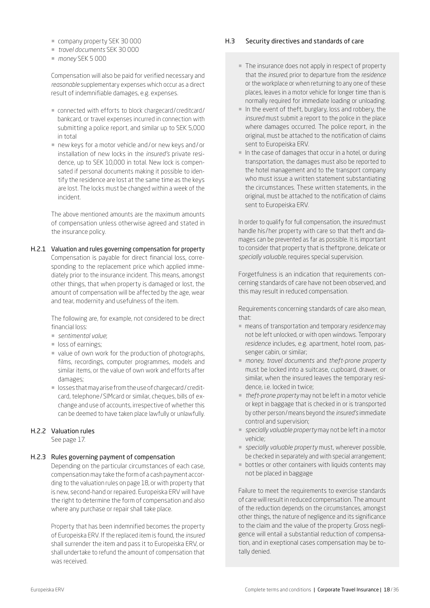- ¡ company property SEK 30 000
- ¡ *travel documents* SEK 30 000
- *monev* SEK 5 000

Compensation will also be paid for verified necessary and *reasonable* supplementary expenses which occur as a direct result of indemnifiable damages, e.g. expenses.

- connected with efforts to block chargecard/creditcard/ bankcard, or travel expenses incurred in connection with submitting a police report, and similar up to SEK 5,000 in total
- new keys for a motor vehicle and/or new keys and/or installation of new locks in the *insured's* private residence, up to SEK 10,000 in total. New lock is compensated if personal documents making it possible to identify the residence are lost at the same time as the keys are lost. The locks must be changed within a week of the incident.

The above mentioned amounts are the maximum amounts of compensation unless otherwise agreed and stated in the insurance policy.

H.2.1 Valuation and rules governing compensation for property Compensation is payable for direct financial loss, corresponding to the replacement price which applied immediately prior to the insurance incident. This means, amongst other things, that when property is damaged or lost, the amount of compensation will be affected by the age, wear and tear, modernity and usefulness of the item.

> The following are, for example, not considered to be direct financial loss:

- ¡ *sentimental value*;
- $\blacksquare$  loss of earnings;
- value of own work for the production of photographs, films, recordings, computer programmes, models and similar items, or the value of own work and efforts after damages;
- ¡ losses that may arise from the use of chargecard/ creditcard, telephone/SIMcard or similar, cheques, bills of exchange and use of accounts, irrespective of whether this can be deemed to have taken place lawfully or unlawfully.

# H.2.2 Valuation rules

See page 17.

#### H.2.3 Rules governing payment of compensation

Depending on the particular circumstances of each case, compensation may take the form of a cash payment according to the valuation rules on page 18, or with property that is new, second-hand or repaired. Europeiska ERV will have the right to determine the form of compensation and also where any purchase or repair shall take place.

Property that has been indemnified becomes the property of Europeiska ERV. If the replaced item is found, the *insured* shall surrender the item and pass it to Europeiska ERV, or shall undertake to refund the amount of compensation that was received.

#### <span id="page-17-0"></span>H.3 Security directives and standards of care

- ¡ The insurance does not apply in respect of property that the *insured*, prior to departure from the *residence* or the workplace or when returning to any one of these places, leaves in a motor vehicle for longer time than is normally required for immediate loading or unloading.
- ¡ In the event of theft, burglary, loss and robbery, the *insured* must submit a report to the police in the place where damages occurred. The police report, in the original, must be attached to the notification of claims sent to Europeiska ERV.
- ¡ In the case of damages that occur in a hotel, or during transportation, the damages must also be reported to the hotel management and to the transport company who must issue a written statement substantiating the circumstances. These written statements, in the original, must be attached to the notification of claims sent to Europeiska ERV.

In order to qualify for full compensation, the *insured* must handle his /her property with care so that theft and damages can be prevented as far as possible. It is important to consider that property that is theftprone, delicate or *specially valuable*, requires special supervision.

Forgetfulness is an indication that requirements concerning standards of care have not been observed, and this may result in reduced compensation.

Requirements concerning standards of care also mean, that:

- ¡ means of transportation and temporary *residence* may not be left unlocked, or with open windows. Temporary *residence* includes, e.g. apartment, hotel room, passenger cabin, or similar;
- ¡ *money*, *travel documents* and *theft-prone property* must be locked into a suitcase, cupboard, drawer, or similar, when the insured leaves the temporary residence, i.e. locked in twice;
- ¡ *theft-prone property* may not be left in a motor vehicle or kept in baggage that is checked in or is transported by other person/means beyond the *insured's* immediate control and supervision;
- ¡ *specially valuable property* may not be left in a motor vehicle;
- ¡ *specially valuable property* must, wherever possible, be checked in separately and with special arrangement;
- ¡ bottles or other containers with liquids contents may not be placed in baggage

Failure to meet the requirements to exercise standards of care will result in reduced compensation. The amount of the reduction depends on the circumstances, amongst other things, the nature of negligence and its significance to the claim and the value of the property. Gross negligence will entail a substantial reduction of compensation, and in exeptional cases compensation may be totally denied.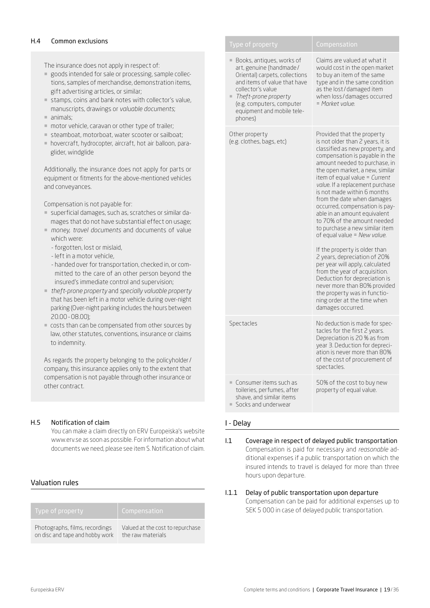#### <span id="page-18-0"></span>H.4 Common exclusions

The insurance does not apply in respect of:

- ¡ goods intended for sale or processing, sample collections, samples of merchandise, demonstration items, gift advertising articles, or similar;
- ¡ stamps, coins and bank notes with collector's value, manuscripts, drawings or *valuable documents*;
- umals;
- motor vehicle, caravan or other type of trailer;
- ¡ steamboat, motorboat, water scooter or sailboat;
- ¡ hovercraft, hydrocopter, aircraft, hot air balloon, paraglider, windglide

Additionally, the insurance does not apply for parts or equipment or fitments for the above-mentioned vehicles and conveyances.

Compensation is not payable for:

- ¡ superficial damages, such as, scratches or similar damages that do not have substantial effect on usage;
- ¡ *money*, *travel documents* and documents of value which were:
	- forgotten, lost or mislaid,
	- left in a motor vehicle,
	- handed over for transportation, checked in, or committed to the care of an other person beyond the insured's immediate control and supervision;
- ¡ *theft-prone property* and *specially valuable property* that has been left in a motor vehicle during over-night parking (Over-night parking includes the hours between 20.00-08.00);
- costs than can be compensated from other sources by law, other statutes, conventions, insurance or claims to indemnity.

As regards the property belonging to the policyholder/ company, this insurance applies only to the extent that compensation is not payable through other insurance or other contract.

# <span id="page-18-1"></span>H.5 Notification of claim

You can make a claim directly on ERV Europeiska's website [www.erv.se](https://www.erv.se/foretag/) as soon as possible. For information about what documents we need, please see item S. Notification of claim.

# Valuation rules

| Type of property                | Compensation                     |
|---------------------------------|----------------------------------|
| Photographs, films, recordings  | Valued at the cost to repurchase |
| on disc and tape and hobby work | the raw materials                |

| Type of property                                                                                                                                                                                                                                              | Compensation                                                                                                                                                                                                                                                                                                                                                                                                                                                                                                                                                                                                                                                                                                                                                                                          |
|---------------------------------------------------------------------------------------------------------------------------------------------------------------------------------------------------------------------------------------------------------------|-------------------------------------------------------------------------------------------------------------------------------------------------------------------------------------------------------------------------------------------------------------------------------------------------------------------------------------------------------------------------------------------------------------------------------------------------------------------------------------------------------------------------------------------------------------------------------------------------------------------------------------------------------------------------------------------------------------------------------------------------------------------------------------------------------|
| Books, antigues, works of<br>ш<br>art, genuine (handmade/<br>Oriental) carpets, collections<br>and items of value that have<br>collector's value<br>$\blacksquare$ Theft-prone property<br>(e.g. computers, computer<br>equipment and mobile tele-<br>phones) | Claims are valued at what it<br>would cost in the open market<br>to buy an item of the same<br>type and in the same condition<br>as the lost/damaged item<br>when loss/damages occurred<br>= Market value                                                                                                                                                                                                                                                                                                                                                                                                                                                                                                                                                                                             |
| Other property<br>(e.g. clothes, bags, etc)                                                                                                                                                                                                                   | Provided that the property<br>is not older than 2 years, it is<br>classified as new property, and<br>compensation is payable in the<br>amount needed to purchase, in<br>the open market, a new, similar<br>item of equal value = Current<br>value. If a replacement purchase<br>is not made within 6 months<br>from the date when damages<br>occurred, compensation is pay-<br>able in an amount equivalent<br>to 70% of the amount needed<br>to purchase a new similar item<br>of equal value = New value.<br>If the property is older than<br>2 years, depreciation of 20%<br>per year will apply, calculated<br>from the year of acquisition.<br>Deduction for depreciation is<br>never more than 80% provided<br>the property was in functio-<br>ning order at the time when<br>damages occurred. |
| Spectacles                                                                                                                                                                                                                                                    | No deduction is made for spec-<br>tacles for the first 2 years.<br>Depreciation is 20 % as from<br>year 3. Deduction for depreci-<br>ation is never more than 80%<br>of the cost of procurement of<br>spectacles.                                                                                                                                                                                                                                                                                                                                                                                                                                                                                                                                                                                     |
| Consumer items such as<br>m.<br>toileries, perfumes, after<br>shave, and similar items<br>Socks and underwear                                                                                                                                                 | 50% of the cost to buy new<br>property of equal value.                                                                                                                                                                                                                                                                                                                                                                                                                                                                                                                                                                                                                                                                                                                                                |

## I - Delay

### <span id="page-18-2"></span>I.1 Coverage in respect of delayed public transportation Compensation is paid for necessary and *reasonable* additional expenses if a public transportation on which the insured intends to travel is delayed for more than three hours upon departure.

I.1.1 Delay of public transportation upon departure Compensation can be paid for additional expenses up to SEK 5 000 in case of delayed public transportation.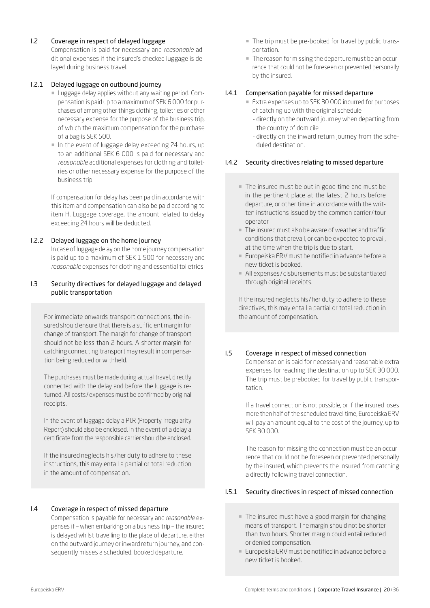# <span id="page-19-0"></span>I.2 Coverage in respect of delayed luggage

Compensation is paid for necessary and *reasonable* additional expenses if the insured's checked luggage is delayed during business travel.

# I.2.1 Delayed luggage on outbound journey

- ¡ Luggage delay applies without any waiting period. Compensation is paid up to a maximum of SEK 6 000 for purchases of among other things clothing, toiletries or other necessary expense for the purpose of the business trip, of which the maximum compensation for the purchase of a bag is SEK 500.
- In the event of luggage delay exceeding 24 hours, up to an additional SEK 6 000 is paid for necessary and *reasonable* additional expenses for clothing and toiletries or other necessary expense for the purpose of the business trip.

If compensation for delay has been paid in accordance with this item and compensation can also be paid according to item H. Luggage coverage, the amount related to delay exceeding 24 hours will be deducted.

# I.2.2 Delayed luggage on the home journey

In case of luggage delay on the home journey compensation is paid up to a maximum of SEK 1 500 for necessary and *reasonable* expenses for clothing and essential toiletries.

# <span id="page-19-1"></span>I.3 Security directives for delayed luggage and delayed public transportation

For immediate onwards transport connections, the insured should ensure that there is a sufficient margin for change of transport. The margin for change of transport should not be less than 2 hours. A shorter margin for catching connecting transport may result in compensation being reduced or withheld.

The purchases must be made during actual travel, directly connected with the delay and before the luggage is returned. All costs /expenses must be confirmed by original receipts.

In the event of luggage delay a P.I.R (Property Irregularity Report) should also be enclosed. In the event of a delay a certificate from the responsible carrier should be enclosed.

If the insured neglects his /her duty to adhere to these instructions, this may entail a partial or total reduction in the amount of compensation.

## <span id="page-19-2"></span>I.4 Coverage in respect of missed departure

Compensation is payable for necessary and *reasonable* expenses if – when embarking on a business trip – the insured is delayed whilst travelling to the place of departure, either on the outward journey or inward return journey, and consequently misses a scheduled, booked departure.

- ¡ The trip must be pre-booked for travel by public transportation.
- ¡ The reason for missing the departure must be an occurrence that could not be foreseen or prevented personally by the insured.

# I.4.1 Compensation payable for missed departure

- Extra expenses up to SEK 30 000 incurred for purposes of catching up with the original schedule
	- directly on the outward journey when departing from the country of domicile
	- directly on the inward return journey from the scheduled destination.

# I.4.2 Security directives relating to missed departure

- ¡ The insured must be out in good time and must be in the pertinent place at the latest 2 hours before departure, or other time in accordance with the written instructions issued by the common carrier/tour operator.
- $\blacksquare$  The insured must also be aware of weather and traffic conditions that prevail, or can be expected to prevail, at the time when the trip is due to start.
- Europeiska ERV must be notified in advance before a new ticket is booked.
- ¡ All expenses /disbursements must be substantiated through original receipts.

If the insured neglects his /her duty to adhere to these directives, this may entail a partial or total reduction in the amount of compensation.

# <span id="page-19-3"></span>I.5 Coverage in respect of missed connection

Compensation is paid for necessary and reasonable extra expenses for reaching the destination up to SEK 30 000. The trip must be prebooked for travel by public transportation.

If a travel connection is not possible, or if the insured loses more then half of the scheduled travel time, Europeiska ERV will pay an amount equal to the cost of the journey, up to SEK 30 000.

The reason for missing the connection must be an occurrence that could not be foreseen or prevented personally by the insured, which prevents the insured from catching a directly following travel connection.

# I.5.1 Security directives in respect of missed connection

- ¡ The insured must have a good margin for changing means of transport. The margin should not be shorter than two hours. Shorter margin could entail reduced or denied compensation.
- Europeiska ERV must be notified in advance before a new ticket is booked.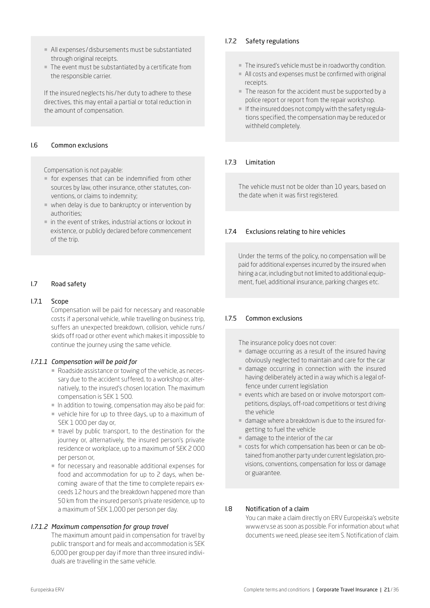- ¡ All expenses /disbursements must be substantiated through original receipts.
- ¡ The event must be substantiated by a certificate from the responsible carrier.

If the insured neglects his /her duty to adhere to these directives, this may entail a partial or total reduction in the amount of compensation.

#### <span id="page-20-0"></span>I.6 Common exclusions

Compensation is not payable:

- ¡ for expenses that can be indemnified from other sources by law, other insurance, other statutes, conventions, or claims to indemnity;
- ¡ when delay is due to bankruptcy or intervention by authorities;
- $\blacksquare$  in the event of strikes, industrial actions or lockout in existence, or publicly declared before commencement of the trip.

# <span id="page-20-1"></span>I.7 Road safety

#### I.7.1 Scope

Compensation will be paid for necessary and reasonable costs if a personal vehicle, while travelling on business trip, suffers an unexpected breakdown, collision, vehicle runs / skids off road or other event which makes it impossible to continue the journey using the same vehicle.

#### *I.7.1.1 Compensation will be paid for*

- ¡ Roadside assistance or towing of the vehicle, as necessary due to the accident suffered, to a workshop or, alternatively, to the insured's chosen location. The maximum compensation is SEK 1 500.
- $\blacksquare$  In addition to towing, compensation may also be paid for:
- ¡ vehicle hire for up to three days, up to a maximum of SEK 1 000 per day or,
- ¡ travel by public transport, to the destination for the journey or, alternatively, the insured person's private residence or workplace, up to a maximum of SEK 2 000 per person or,
- ¡ for necessary and reasonable additional expenses for food and accommodation for up to 2 days, when becoming aware of that the time to complete repairs exceeds 12 hours and the breakdown happened more than 50 km from the insured person's private residence, up to a maximum of SEK 1,000 per person per day.

#### *I.7.1.2 Maximum compensation for group travel*

The maximum amount paid in compensation for travel by public transport and for meals and accommodation is SEK 6,000 per group per day if more than three insured individuals are travelling in the same vehicle.

# I.7.2 Safety regulations

- ¡ The insured's vehicle must be in roadworthy condition.
- ¡ All costs and expenses must be confirmed with original receipts.
- The reason for the accident must be supported by a police report or report from the repair workshop.
- $\blacksquare$  If the insured does not comply with the safety regulations specified, the compensation may be reduced or withheld completely.

# I.7.3 Limitation

The vehicle must not be older than 10 years, based on the date when it was first registered.

#### I.7.4 Exclusions relating to hire vehicles

Under the terms of the policy, no compensation will be paid for additional expenses incurred by the insured when hiring a car, including but not limited to additional equipment, fuel, additional insurance, parking charges etc.

#### I.7.5 Common exclusions

The insurance policy does not cover:

- $\blacksquare$  damage occurring as a result of the insured having obviously neglected to maintain and care for the car
- ¡ damage occurring in connection with the insured having deliberately acted in a way which is a legal offence under current legislation
- ¡ events which are based on or involve motorsport competitions, displays, off-road competitions or test driving the vehicle
- ¡ damage where a breakdown is due to the insured forgetting to fuel the vehicle
- ¡ damage to the interior of the car
- ¡ costs for which compensation has been or can be obtained from another party under current legislation, provisions, conventions, compensation for loss or damage or guarantee.

# <span id="page-20-2"></span>I.8 Notification of a claim

You can make a claim directly on ERV Europeiska's website [www.erv.se](https://www.erv.se/foretag/) as soon as possible. For information about what documents we need, please see item S. Notification of claim.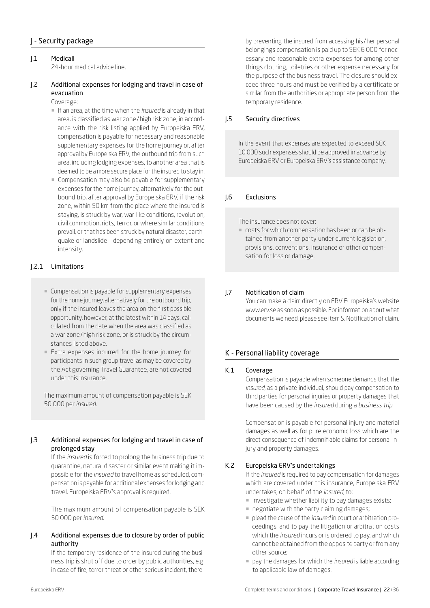# J - Security package

### <span id="page-21-0"></span>J.1 Medicall 24-hour medical advice line.

# <span id="page-21-1"></span>J.2 Additional expenses for lodging and travel in case of evacuation

# Coverage:

- ¡ If an area, at the time when the *insured* is already in that area, is classified as war zone/high risk zone, in accordance with the risk listing applied by Europeiska ERV, compensation is payable for necessary and reasonable supplementary expenses for the home journey or, after approval by Europeiska ERV, the outbound trip from such area, including lodging expenses, to another area that is deemed to be a more secure place for the insured to stay in.
- ¡ Compensation may also be payable for supplementary expenses for the home journey, alternatively for the outbound trip, after approval by Europeiska ERV, if the risk zone, within 50 km from the place where the insured is staying, is struck by war, war-like conditions, revolution, civil commotion, riots, terror, or where similar conditions prevail, or that has been struck by natural disaster, earthquake or landslide – depending entirely on extent and intensity.

# J.2.1 Limitations

- ¡ Compensation is payable for supplementary expenses for the home journey, alternatively for the outbound trip, only if the insured leaves the area on the first possible opportunity, however, at the latest within 14 days, calculated from the date when the area was classified as a war zone/high risk zone, or is struck by the circumstances listed above.
- ¡ Extra expenses incurred for the home journey for participants in such group travel as may be covered by the Act governing Travel Guarantee, are not covered under this insurance.

The maximum amount of compensation payable is SEK 50 000 per *insured*.

# <span id="page-21-2"></span>J.3 Additional expenses for lodging and travel in case of prolonged stay

If the *insured* is forced to prolong the business trip due to quarantine, natural disaster or similar event making it impossible for the *insured* to travel home as scheduled, compensation is payable for additional expenses for lodging and travel. Europeiska ERV's approval is required.

The maximum amount of compensation payable is SEK 50 000 per *insured*.

# <span id="page-21-3"></span>J.4 Additional expenses due to closure by order of public authority

If the temporary residence of the insured during the business trip is shut off due to order by public authorities, e.g. in case of fire, terror threat or other serious incident, there-

by preventing the insured from accessing his /her personal belongings compensation is paid up to SEK 6 000 for necessary and reasonable extra expenses for among other things clothing, toiletries or other expense necessary for the purpose of the business travel. The closure should exceed three hours and must be verified by a certificate or similar from the authorities or appropriate person from the temporary residence.

# <span id="page-21-4"></span>J.5 Security directives

In the event that expenses are expected to exceed SEK 10 000 such expenses should be approved in advance by Europeiska ERV or Europeiska ERV's assistance company.

# <span id="page-21-5"></span>J.6 Exclusions

The insurance does not cover:

¡ costs for which compensation has been or can be obtained from another party under current legislation, provisions, conventions, insurance or other compensation for loss or damage.

# <span id="page-21-6"></span>J.7 Notification of claim

You can make a claim directly on ERV Europeiska's website [www.erv.se](https://www.erv.se/foretag/) as soon as possible. For information about what documents we need, please see item S. Notification of claim.

# K - Personal liability coverage

#### <span id="page-21-7"></span>K.1 Coverage

Compensation is payable when someone demands that the *insured*, as a private individual, should pay compensation to third parties for personal injuries or property damages that have been caused by the *insured* during a *business trip*.

Compensation is payable for personal injury and material damages as well as for pure economic loss which are the direct consequence of indemnifiable claims for personal injury and property damages.

# <span id="page-21-8"></span>K.2 Europeiska ERV's undertakings

If the *insured* is required to pay compensation for damages which are covered under this insurance, Europeiska ERV undertakes, on behalf of the *insured*, to:

- **· investigate whether liability to pay damages exists;**
- **negotiate with the party claiming damages;**
- ¡ plead the cause of the *insured* in court or arbitration proceedings, and to pay the litigation or arbitration costs which the *insured* incurs or is ordered to pay, and which cannot be obtained from the opposite party or from any other source;
- ¡ pay the damages for which the *insured* is liable according to applicable law of damages.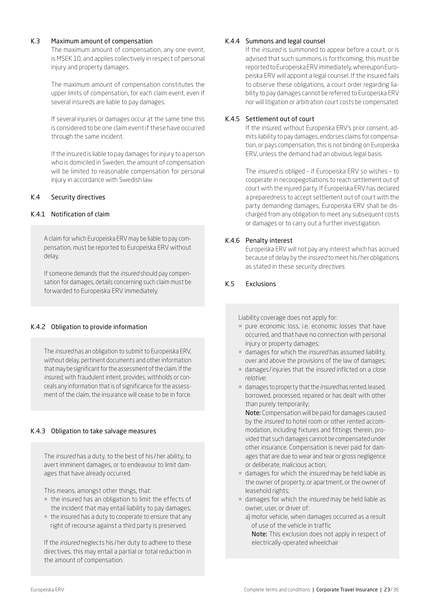# <span id="page-22-0"></span>K.3 Maximum amount of compensation

The maximum amount of compensation, any one event, is MSEK 10, and applies collectively in respect of personal injury and property damages.

The maximum amount of compensation constitutes the upper limits of compensation, for each claim event, even if several insureds are liable to pay damages.

If several injuries or damages occur at the same time this is considered to be one claim event if these have occurred through the same incident.

If the insured is liable to pay damages for injury to a person who is domiciled in Sweden, the amount of compensation will be limited to reasonable compensation for personal injury in accordance with Swedish law.

# <span id="page-22-1"></span>K.4 Security directives

# K.4.1 Notification of claim

A claim for which Europeiska ERV may be liable to pay compensation, must be reported to Europeiska ERV without delay.

If someone demands that the *insured* should pay compensation for damages, details concerning such claim must be forwarded to Europeiska ERV immediately.

# K.4.2 Obligation to provide information

The *insured* has an obligation to submit to Europeiska ERV, without delay, pertinent documents and other information that may be significant for the assessment of the claim. If the *insured*, with fraudulent intent, provides, withholds or conceals any information that is of significance for the assessment of the claim, the insurance will cease to be in force.

# K.4.3 Obligation to take salvage measures

The *insured* has a duty, to the best of his /her ability, to avert imminent damages, or to endeavour to limit damages that have already occurred.

This means, amongst other things, that:

- ¡ the insured has an obligation to limit the effects of the incident that may entail liability to pay damages;
- ¡ the insured has a duty to cooperate to ensure that any right of recourse against a third party is preserved.

If the *insured* neglects his /her duty to adhere to these directives, this may entail a partial or total reduction in the amount of compensation.

# K.4.4 Summons and legal counsel

If the *insured* is summoned to appear before a court, or is advised that such summons is forthcoming, this must be reported to Europeiska ERV immediately, whereupon Europeiska ERV will appoint a legal counsel. If the insured fails to observe these obligations, a court order regarding liability to pay damages cannot be referred to Europeiska ERV nor will litigation or arbitration court costs be compensated.

# K.4.5 Settlement out of court

If the *insured*, without Europeiska ERV's prior consent, admits liability to pay damages, endorses claims for compensation, or pays compensation, this is not binding on Europeiska ERV, unless the demand had an obvious legal basis.

The *insured* is obliged – if Europeiska ERV so wishes – to cooperate in necoopegotiations to reach settlement out of court with the injured party. If Europeiska ERV has declared a preparedness to accept settlement out of court with the party demanding damages, Europeiska ERV shall be discharged from any obligation to meet any subsequent costs or damages or to carry out a further investigation.

# K.4.6 Penalty interest

Europeiska ERV will not pay any interest which has accrued because of delay by the *insured* to meet his /her obligations as stated in these *security directives*.

# <span id="page-22-2"></span>K.5 Exclusions

Liability coverage does not apply for:

- **pure economic loss, i.e. economic losses that have** occurred, and that have no connection with personal injury or property damages;
- ¡ damages for which the *insured* has assumed liability, over and above the provisions of the law of damages;
- ¡ damages /injuries that the *insured* inflicted on a *close relative*;
- ¡ damages to property that the *insured* has rented, leased, borrowed, processed, repaired or has dealt with other than purely temporarily;

Note: Compensation will be paid for damages caused by the *insured* to hotel room or other rented accommodation, including fixtures and fittings therein, provided that such damages cannot be compensated under other insurance. Compensation is never paid for damages that are due to wear and tear or gross negligence or deliberate, malicious action;

- ¡ damages for which the *insured* may be held liable as the owner of property, or apartment, or the owner of leasehold rights;
- ¡ damages for which the *insured* may be held liable as owner, user, or driver of:
	- a) motor vehicle, when damages occurred as a result of use of the vehicle in traffic

Note: This exclusion does not apply in respect of electrically-operated wheelchair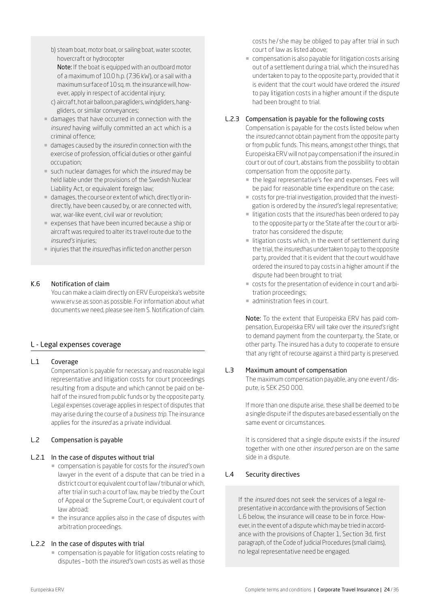b) steam boat, motor boat, or sailing boat, water scooter, hovercraft or hydrocopter Note: If the boat is equipped with an outboard motor of a maximum of 10.0 h.p. (7.36 kW), or a sail with a

maximum surface of 10 sq. m. the insurance will, however, apply in respect of accidental injury;

- c) aircraft, hot air balloon, paragliders, windgliders, hanggliders, or similar conveyances;
- ¡ damages that have occurred in connection with the *insured* having wilfully committed an act which is a criminal offence;
- ¡ damages caused by the *insured* in connection with the exercise of profession, official duties or other gainful occupation;
- ¡ such nuclear damages for which the *insured* may be held liable under the provisions of the Swedish Nuclear Liability Act, or equivalent foreign law;
- ¡ damages, the course or extent of which, directly or indirectly, have been caused by, or are connected with, war, war-like event, civil war or revolution;
- ¡ expenses that have been incurred because a ship or aircraft was required to alter its travel route due to the *insured's* injuries;
- ¡ injuries that the *insured* has inflicted on another person

# <span id="page-23-0"></span>K.6 Notification of claim

You can make a claim directly on ERV Europeiska's website [www.erv.se](https://www.erv.se/foretag/) as soon as possible. For information about what documents we need, please see item S. Notification of claim.

# L - Legal expenses coverage

# <span id="page-23-1"></span>L.1 Coverage

Compensation is payable for necessary and reasonable legal representative and litigation costs for court proceedings resulting from a dispute and which cannot be paid on behalf of the insured from public funds or by the opposite party. Legal expenses coverage applies in respect of disputes that may arise during the course of a *business trip*. The insurance applies for the *insured* as a private individual.

# <span id="page-23-2"></span>L.2 Compensation is payable

# L.2.1 In the case of disputes without trial

- ¡ compensation is payable for costs for the *insured's* own lawyer in the event of a dispute that can be tried in a district court or equivalent court of law/tribunal or which, after trial in such a court of law, may be tried by the Court of Appeal or the Supreme Court, or equivalent court of law abroad;
- $\blacksquare$  the insurance applies also in the case of disputes with arbitration proceedings.

# L.2.2 In the case of disputes with trial

¡ compensation is payable for litigation costs relating to disputes – both the *insured's* own costs as well as those costs he/ she may be obliged to pay after trial in such court of law as listed above;

¡ compensation is also payable for litigation costs arising out of a settlement during a trial, which the insured has undertaken to pay to the opposite party, provided that it is evident that the court would have ordered the *insured* to pay litigation costs in a higher amount if the dispute had been brought to trial.

# L.2.3 Compensation is payable for the following costs

Compensation is payable for the costs listed below when the *insured* cannot obtain payment from the opposite party or from public funds. This means, amongst other things, that Europeiska ERV will not pay compensation if the *insured*, in court or out of court, abstains from the possibility to obtain compensation from the opposite party.

- the legal representative's fee and expenses. Fees will be paid for reasonable time expenditure on the case;
- ¡ costs for pre-trial investigation, provided that the investigation is ordered by the *insured's* legal representative;
- ¡ litigation costs that the *insured* has been ordered to pay to the opposite party or the State after the court or arbitrator has considered the dispute;
- litigation costs which, in the event of settlement during the trial, the *insured* has undertaken to pay to the opposite party, provided that it is evident that the court would have ordered the insured to pay costs in a higher amount if the dispute had been brought to trial;
- ¡ costs for the presentation of evidence in court and arbitration proceedings;
- **administration fees in court.**

Note: To the extent that Europeiska ERV has paid compensation, Europeiska ERV will take over the *insured's* right to demand payment from the counterparty, the State, or other party. The insured has a duty to cooperate to ensure that any right of recourse against a third party is preserved.

# <span id="page-23-3"></span>L.3 Maximum amount of compensation

The maximum compensation payable, any one event/dispute, is SEK 250 000.

If more than one dispute arise, these shall be deemed to be a single dispute if the disputes are based essentially on the same event or circumstances.

It is considered that a single dispute exists if the *insured* together with one other *insured* person are on the same side in a dispute.

# <span id="page-23-4"></span>L.4 Security directives

If the *insured* does not seek the services of a legal representative in accordance with the provisions of Section L.6 below, the insurance will cease to be in force. However, in the event of a dispute which may be tried in accordance with the provisions of Chapter 1, Section 3d, first paragraph, of the Code of Judicial Procedures (small claims), no legal representative need be engaged.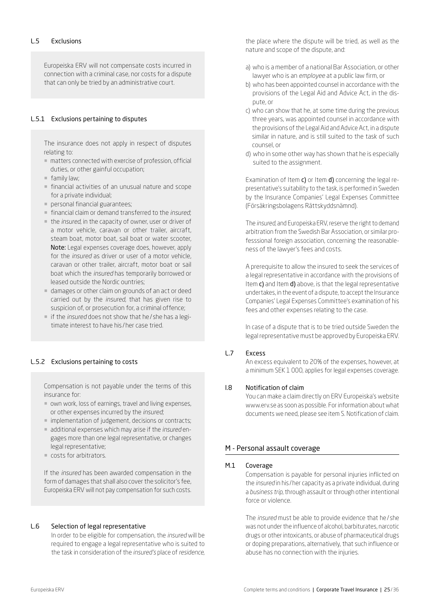<span id="page-24-0"></span>Europeiska ERV will not compensate costs incurred in connection with a criminal case, nor costs for a dispute that can only be tried by an administrative court.

# L.5.1 Exclusions pertaining to disputes

The insurance does not apply in respect of disputes relating to:

- matters connected with exercise of profession, official duties, or other gainful occupation;
- $\blacksquare$  family law;
- $\blacksquare$  financial activities of an unusual nature and scope for a private individual;
- **personal financial guarantees:**
- ¡ financial claim or demand transferred to the *insured*;
- the *insured*, in the capacity of owner, user or driver of a motor vehicle, caravan or other trailer, aircraft, steam boat, motor boat, sail boat or water scooter, Note: Legal expenses coverage does, however, apply for the *insured* as driver or user of a motor vehicle, caravan or other trailer, aircraft, motor boat or sail boat which the *insured* has temporarily borrowed or leased outside the Nordic ountries;
- ¡ damages or other claim on grounds of an act or deed carried out by the *insured*, that has given rise to suspicion of, or prosecution for, a criminal offence;
- ¡ if the *insured* does not show that he/ she has a legitimate interest to have his /her case tried.

# L.5.2 Exclusions pertaining to costs

Compensation is not payable under the terms of this insurance for:

- ¡ own work, loss of earnings, travel and living expenses, or other expenses incurred by the *insured*;
- implementation of judgement, decisions or contracts;
- ¡ additional expenses which may arise if the *insured* engages more than one legal representative, or changes legal representative;
- ¡ costs for arbitrators.

If the *insured* has been awarded compensation in the form of damages that shall also cover the solicitor's fee, Europeiska ERV will not pay compensation for such costs.

#### <span id="page-24-1"></span>L.6 Selection of legal representative

In order to be eligible for compensation, the *insured* will be required to engage a legal representative who is suited to the task in consideration of the *insured's* place of *residence*,

the place where the dispute will be tried, as well as the nature and scope of the dispute, and:

- a) who is a member of a national Bar Association, or other lawyer who is an *employee* at a public law firm, or
- b) who has been appointed counsel in accordance with the provisions of the Legal Aid and Advice Act, in the dispute, or
- c) who can show that he, at some time during the previous three years, was appointed counsel in accordance with the provisions of the Legal Aid and Advice Act, in a dispute similar in nature, and is still suited to the task of such counsel, or
- d) who in some other way has shown that he is especially suited to the assignment.

Examination of Item c) or Item d) concerning the legal representative's suitability to the task, is performed in Sweden by the Insurance Companies' Legal Expenses Committee (Försäkringsbolagens Rättskyddsnämnd).

The *insured*, and Europeiska ERV, reserve the right to demand arbitration from the Swedish Bar Association, or similar professsional foreign association, concerning the reasonableness of the lawyer's fees and costs.

A prerequisite to allow the insured to seek the services of a legal representative in accordance with the provisions of Item c) and Item d) above, is that the legal representative undertakes, in the event of a dispute, to accept the Insurance Companies' Legal Expenses Committee's examination of his fees and other expenses relating to the case.

In case of a dispute that is to be tried outside Sweden the legal representative must be approved by Europeiska ERV.

# <span id="page-24-2"></span>L.7 Excess

An excess equivalent to 20% of the expenses, however, at a minimum SEK 1 000, applies for legal expenses coverage.

#### <span id="page-24-3"></span>l.8 Notification of claim

You can make a claim directly on ERV Europeiska's website [www.erv.se](https://www.erv.se/foretag/) as soon as possible. For information about what documents we need, please see item S. Notification of claim.

# M - Personal assault coverage

#### <span id="page-24-4"></span>M.1 Coverage

Compensation is payable for personal injuries inflicted on the *insured* in his /her capacity as a private individual, during a *business trip*, through assault or through other intentional force or violence.

The *insured* must be able to provide evidence that he/ she was not under the influence of alcohol, barbiturates, narcotic drugs or other intoxicants, or abuse of pharmaceutical drugs or doping preparations, alternatively, that such influence or abuse has no connection with the injuries.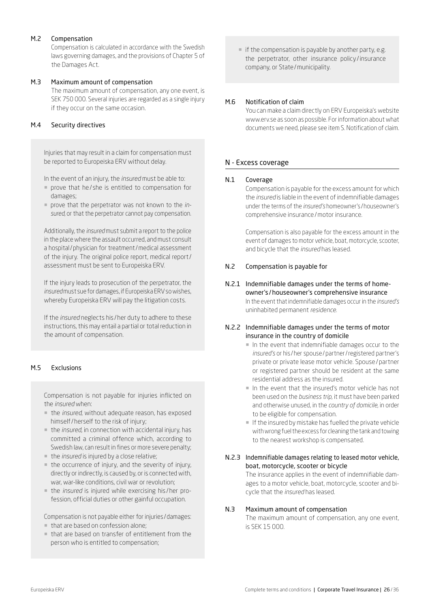# <span id="page-25-0"></span>M.2 Compensation

Compensation is calculated in accordance with the Swedish laws governing damages, and the provisions of Chapter 5 of the Damages Act.

# <span id="page-25-1"></span>M.3 Maximum amount of compensation

The maximum amount of compensation, any one event, is SEK 750 000. Several injuries are regarded as a single injury if they occur on the same occasion.

# <span id="page-25-2"></span>M.4 Security directives

Injuries that may result in a claim for compensation must be reported to Europeiska ERV without delay.

In the event of an injury, the *insured* must be able to:

- ¡ prove that he/ she is entitled to compensation for damages;
- ¡ prove that the perpetrator was not known to the *insured*, or that the perpetrator cannot pay compensation.

Additionally, the *insured* must submit a report to the police in the place where the assault occurred, and must consult a hospital/physician for treatment/medical assessment of the injury. The original police report, medical report/ assessment must be sent to Europeiska ERV.

If the injury leads to prosecution of the perpetrator, the *insured* must sue for damages, if Europeiska ERV so wishes, whereby Europeiska ERV will pay the litigation costs.

If the *insured* neglects his /her duty to adhere to these instructions, this may entail a partial or total reduction in the amount of compensation.

# <span id="page-25-3"></span>M.5 Exclusions

Compensation is not payable for injuries inflicted on the *insured* when:

- ¡ the *insured*, without adequate reason, has exposed himself/herself to the risk of injury;
- ¡ the *insured*, in connection with accidental injury, has committed a criminal offence which, according to Swedish law, can result in fines or more severe penalty;
- ¡ the *insured* is injured by a close relative;
- $\blacksquare$  the occurrence of injury, and the severity of injury, directly or indirectly, is caused by, or is connected with, war, war-like conditions, civil war or revolution;
- ¡ the *insured* is injured while exercising his /her profession, official duties or other gainful occupation.

Compensation is not payable either for injuries /damages:

- ¡ that are based on confession alone;
- ¡ that are based on transfer of entitlement from the person who is entitled to compensation;

• if the compensation is payable by another party, e.g. the perpetrator, other insurance policy /insurance company, or State/municipality.

# <span id="page-25-4"></span>M.6 Notification of claim

You can make a claim directly on ERV Europeiska's website www.erv.se as soon as possible. For information about what documents we need, please see item S. Notification of claim.

# N - Excess coverage

# <span id="page-25-5"></span>N.1 Coverage

Compensation is payable for the excess amount for which the *insured* is liable in the event of indemnifiable damages under the terms of the *insured's* homeowner's /houseowner's comprehensive insurance/motor insurance.

Compensation is also payable for the excess amount in the event of damages to motor vehicle, boat, motorcycle, scooter, and bicycle that the *insured* has leased.

# <span id="page-25-6"></span>N.2 Compensation is payable for

N.2.1 Indemnifiable damages under the terms of homeowner's /houseowner's comprehensive insurance In the event that indemnifiable damages occur in the *insured's* uninhabited permanent *residence*.

# N.2.2 Indemnifiable damages under the terms of motor insurance in the country of domicile

- $\blacksquare$  In the event that indemnifiable damages occur to the *insured's* or his /her spouse/partner/registered partner's private or private lease motor vehicle. Spouse/partner or registered partner should be resident at the same residential address as the insured.
- ¡ In the event that the insured's motor vehicle has not been used on the *business trip*, it must have been parked and otherwise unused, in the *country of domicile*, in order to be eligible for compensation.
- ¡ If the insured by mistake has fuelled the private vehicle with wrong fuel the excess for cleaning the tank and towing to the nearest workshop is compensated.

# N.2.3 Indemnifiable damages relating to leased motor vehicle, boat, motorcycle, scooter or bicycle

The insurance applies in the event of indemnifiable damages to a motor vehicle, boat, motorcycle, scooter and bicycle that the *insured* has leased.

#### <span id="page-25-7"></span>N.3 Maximum amount of compensation

The maximum amount of compensation, any one event, is SEK 15 000.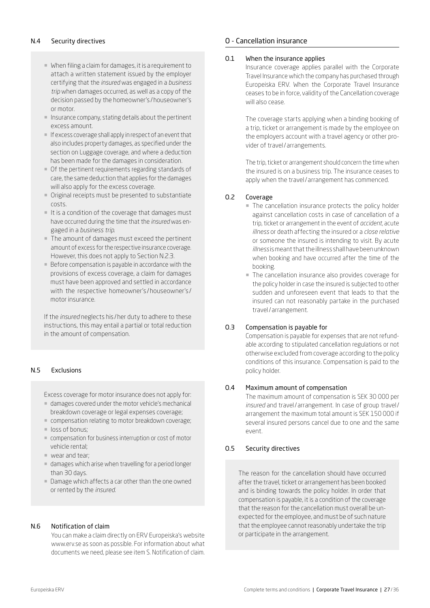- <span id="page-26-0"></span>¡ When filing a claim for damages, it is a requirement to attach a written statement issued by the employer certifying that the *insured* was engaged in a *business trip* when damages occurred, as well as a copy of the decision passed by the homeowner's /houseowner's or motor.
- ¡ Insurance company, stating details about the pertinent excess amount.
- ¡ If excess coverage shall apply in respect of an event that also includes property damages, as specified under the section on Luggage coverage, and where a deduction has been made for the damages in consideration.
- ¡ Of the pertinent requirements regarding standards of care, the same deduction that applies for the damages will also apply for the excess coverage.
- ¡ Original receipts must be presented to substantiate costs.
- $\blacksquare$  It is a condition of the coverage that damages must have occurred during the time that the *insured* was engaged in a *business trip*.
- The amount of damages must exceed the pertinent amount of excess for the respective insurance coverage. However, this does not apply to Section N.2.3.
- **Before compensation is payable in accordance with the** provisions of excess coverage, a claim for damages must have been approved and settled in accordance with the respective homeowner's / houseowner's / motor insurance.

If the *insured* neglects his /her duty to adhere to these instructions, this may entail a partial or total reduction in the amount of compensation.

# <span id="page-26-1"></span>N.5 Exclusions

Excess coverage for motor insurance does not apply for:

- ¡ damages covered under the motor vehicle's mechanical breakdown coverage or legal expenses coverage;
- ¡ compensation relating to motor breakdown coverage;
- loss of bonus;
- ¡ compensation for business interruption or cost of motor vehicle rental;
- ¡ wear and tear;
- ¡ damages which arise when travelling for a period longer than 30 days.
- ¡ Damage which affects a car other than the one owned or rented by the *insured*.

# <span id="page-26-2"></span>N.6 Notification of claim

You can make a claim directly on ERV Europeiska's website www.erv.se as soon as possible. For information about what documents we need, please see item S. Notification of claim.

# O - Cancellation insurance

# <span id="page-26-3"></span>O.1 When the insurance applies

Insurance coverage applies parallel with the Corporate Travel Insurance which the company has purchased through Europeiska ERV. When the Corporate Travel Insurance ceases to be in force, validity of the Cancellation coverage will also cease.

The coverage starts applying when a binding booking of a trip, ticket or arrangement is made by the employee on the employers account with a travel agency or other provider of travel/ arrangements.

The trip, ticket or arrangement should concern the time when the insured is on a business trip. The insurance ceases to apply when the travel/ arrangement has commenced.

# <span id="page-26-4"></span>O.2 Coverage

- ¡ The cancellation insurance protects the policy holder against cancellation costs in case of cancellation of a trip, ticket or arrangement in the event of *accident*, acute *illness* or death affecting the insured or a *close relative* or someone the insured is intending to visit. By acute *illness* is meant that the illness shall have been unknown when booking and have occurred after the time of the booking.
- ¡ The cancellation insurance also provides coverage for the policy holder in case the insured is subjected to other sudden and unforeseen event that leads to that the insured can not reasonably partake in the purchased travel/ arrangement.

# <span id="page-26-5"></span>O.3 Compensation is payable for

Compensation is payable for expenses that are not refundable according to stipulated cancellation regulations or not otherwise excluded from coverage according to the policy conditions of this insurance. Compensation is paid to the policy holder.

# <span id="page-26-6"></span>O.4 Maximum amount of compensation

The maximum amount of compensation is SEK 30 000 per *insured* and travel/ arrangement. In case of group travel/ arrangement the maximum total amount is SEK 150 000 if several insured persons cancel due to one and the same event.

# <span id="page-26-7"></span>O.5 Security directives

The reason for the cancellation should have occurred after the travel, ticket or arrangement has been booked and is binding towards the policy holder. In order that compensation is payable, it is a condition of the coverage that the reason for the cancellation must overall be unexpected for the employee, and must be of such nature that the employee cannot reasonably undertake the trip or participate in the arrangement.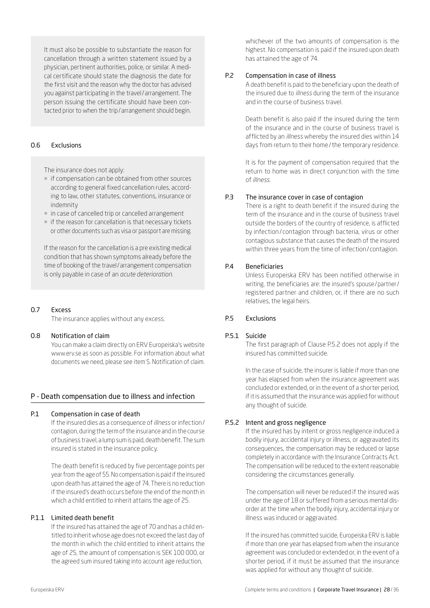It must also be possible to substantiate the reason for cancellation through a written statement issued by a physician, pertinent authorities, police, or similar. A medical certificate should state the diagnosis the date for the first visit and the reason why the doctor has advised you against participating in the travel/arrangement. The person issuing the certificate should have been contacted prior to when the trip/arrangement should begin.

#### <span id="page-27-0"></span>O.6 Exclusions

The insurance does not apply:

- if compensation can be obtained from other sources according to general fixed cancellation rules, according to law, other statutes, conventions, insurance or indemnity
- $\blacksquare$  in case of cancelled trip or cancelled arrangement
- if the reason for cancellation is that necessary tickets or other documents such as visa or passport are missing.

If the reason for the cancellation is a pre existing medical condition that has shown symptoms already before the time of booking of the travel/arrangement compensation is only payable in case of an *acute deterioration*.

#### <span id="page-27-1"></span>O.7 Excess

The insurance applies without any excess.

# <span id="page-27-2"></span>O.8 Notification of claim

You can make a claim directly on ERV Europeiska's website [www.erv.se](https://www.erv.se/foretag/) as soon as possible. For information about what documents we need, please see item S. Notification of claim.

#### P - Death compensation due to illness and infection

#### <span id="page-27-3"></span>P.1 Compensation in case of death

If the insured dies as a consequence of *illness* or infection/ contagion, during the term of the insurance and in the course of business travel, a lump sum is paid, death benefit. The sum insured is stated in the insurance policy.

The death benefit is reduced by five percentage points per year from the age of 55. No compensation is paid if the insured upon death has attained the age of 74. There is no reduction if the insured's death occurs before the end of the month in which a child entitled to inherit attains the age of 25.

#### P.1.1 Limited death benefit

If the insured has attained the age of 70 and has a child entitled to inherit whose age does not exceed the last day of the month in which the child entitled to inherit attains the age of 25, the amount of compensation is SEK 100 000, or the agreed sum insured taking into account age reduction,

whichever of the two amounts of compensation is the highest. No compensation is paid if the insured upon death has attained the age of 74.

# <span id="page-27-4"></span>P.2 Compensation in case of illness

A death benefit is paid to the beneficiary upon the death of the insured due to *illness* during the term of the insurance and in the course of business travel.

Death benefit is also paid if the insured during the term of the insurance and in the course of business travel is afflicted by an *illness* whereby the insured dies within 14 days from return to their home/the temporary residence.

It is for the payment of compensation required that the return to home was in direct conjunction with the time of *illness*.

#### <span id="page-27-5"></span>P.3 The insurance cover in case of contagion

There is a right to death benefit if the insured during the term of the insurance and in the course of business travel outside the borders of the country of residence, is afflicted by infection / contagion through bacteria, virus or other contagious substance that causes the death of the insured within three years from the time of infection/ contagion.

### <span id="page-27-6"></span>P.4 Beneficiaries

Unless Europeiska ERV has been notified otherwise in writing, the beneficiaries are: the insured's spouse/partner/ registered partner and children, or, if there are no such relatives, the legal heirs.

### <span id="page-27-7"></span>P.5 Exclusions

#### P.5.1 Suicide

The first paragraph of Clause P.5.2 does not apply if the insured has committed suicide.

In the case of suicide, the insurer is liable if more than one year has elapsed from when the insurance agreement was concluded or extended, or in the event of a shorter period, if it is assumed that the insurance was applied for without any thought of suicide.

### P.5.2 Intent and gross negligence

If the insured has by intent or gross negligence induced a bodily injury, accidental injury or illness, or aggravated its consequences, the compensation may be reduced or lapse completely in accordance with the Insurance Contracts Act. The compensation will be reduced to the extent reasonable considering the circumstances generally.

The compensation will never be reduced if the insured was under the age of 18 or suffered from a serious mental disorder at the time when the bodily injury, accidental injury or illness was induced or aggravated.

If the insured has committed suicide, Europeiska ERV is liable if more than one year has elapsed from when the insurance agreement was concluded or extended or, in the event of a shorter period, if it must be assumed that the insurance was applied for without any thought of suicide.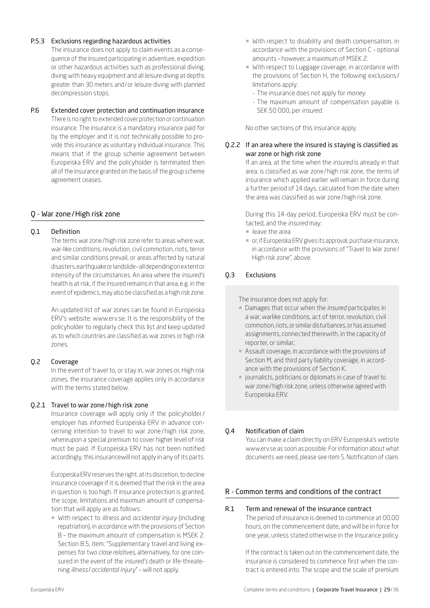# P.5.3 Exclusions regarding hazardous activities

The insurance does not apply to claim events as a consequence of the insured participating in adventure, expedition or other hazardous activities such as professional diving, diving with heavy equipment and all leisure diving at depths greater than 30 meters and/or leisure diving with planned decompression stops.

# <span id="page-28-0"></span>P.6 Extended cover protection and continuation insurance

There is no right to extended cover protection or continuation insurance. The insurance is a mandatory insurance paid for by the employer and it is not technically possible to provide this insurance as voluntary individual insurance. This means that if the group scheme agreement between Europeiska ERV and the policyholder is terminated then all of the insurance granted on the basis of the group scheme agreement ceases.

# Q - War zone/High risk zone

# <span id="page-28-1"></span>Q.1 Definition

The terms war zone/high risk zone refer to areas where war, war-like conditions, revolution, civil commotion, riots, terror and similar conditions prevail, or areas affected by natural disasters, earthquake or landslide – all depending on extent or intensity of the circumstances. An area where the *insured's* health is at risk, if the insured remains in that area, e.g. in the event of epidemics, may also be classified as a high risk zone.

An updated list of war zones can be found in Europeiska ERV's website: [www.erv.se.](https://www.erv.se/foretag/) It is the responsibility of the policyholder to regularly check this list and keep updated as to which countries are classified as war zones or high risk zones.

# <span id="page-28-2"></span>Q.2 Coverage

In the event of travel to, or stay in, war zones or, High risk zones, the insurance coverage applies only in accordance with the terms stated below.

# Q.2.1 Travel to war zone/high risk zone

Insurance coverage will apply only if the policyholder/ employer has informed Europeiska ERV in advance concerning intention to travel to war zone / high risk zone, whereupon a special premium to cover higher level of risk must be paid. If Europeiska ERV has not been notified accordingly, this insurancewill not apply in any of its parts.

Europeiska ERV reserves the right, at its discretion, to decline insurance coverage if it is deemed that the risk in the area in question is too high. If insurance protection is granted, the scope, limitations and maximum amount of compensation that will apply are as follows:

¡ With respect to *illness* and *accidental injury* (including repatriation), in accordance with the provisions of Section B – the maximum amount of compensation is MSEK 2. Section B.5, item: "Supplementary travel and living expenses for two *close relatives*, alternatively, for one coinsured in the event of the *insured's* death or life-threatening *illness* /*accidental injury*" – will not apply.

- ¡ With respect to disability and death compensation, in accordance with the provisions of Section C – optional amounts – however, a maximum of MSEK 2.
- ¡ With respect to Luggage coverage, in accordance with the provisions of Section H, the following exclusions / limitations apply:
	- The insurance does not apply for *money*.
	- The maximum amount of compensation payable is SEK 50 000, per *insured*.

No other sections of this insurance apply.

# Q.2.2 If an area where the insured is staying is classified as war zone or high risk zone

If an area, at the time when the *insured* is already in that area, is classified as war zone/high risk zone, the terms of insurance which applied earlier will remain in force during a further period of 14 days, calculated from the date when the area was classified as war zone/high risk zone.

During this 14-day period, Europeiska ERV must be contacted, and the *insured* may:

- ¡ leave the area
- ¡ or, if Europeiska ERV gives its approval, purchase insurance, in accordance with the provisions of "Travel to War zone/ High risk zone", above.

# Q.3 Exclusions

The insurance does not apply for:

- ¡ Damages that occur when the *insured* participates in a war, warlike conditions, act of terror, revolution, civil commotion, riots, or similar disturbances, or has assumed assignments, connected therewith, in the capacity of reporter, or similar;
- **Assault coverage, in accordance with the provisions of** Section M, and third party liability coverage, in accordance with the provisions of Section K.
- **journalists, politicians or diplomats in case of travel to** war zone/high risk zone, unless otherwise agreed with Europeiska ERV.

# Q.4 Notification of claim

You can make a claim directly on ERV Europeiska's website [www.erv.se](https://www.erv.se/foretag/) as soon as possible. For information about what documents we need, please see item S. Notification of claim.

# R - Common terms and conditions of the contract

# <span id="page-28-3"></span>R.1 Term and renewal of the insurance contract

The period of insurance is deemed to commence at 00.00 hours, on the commencement date, and will be in force for one year, unless stated otherwise in the Insurance policy.

If the contract is taken out on the commencement date, the insurance is considered to commence first when the contract is entered into. The scope and the scale of premium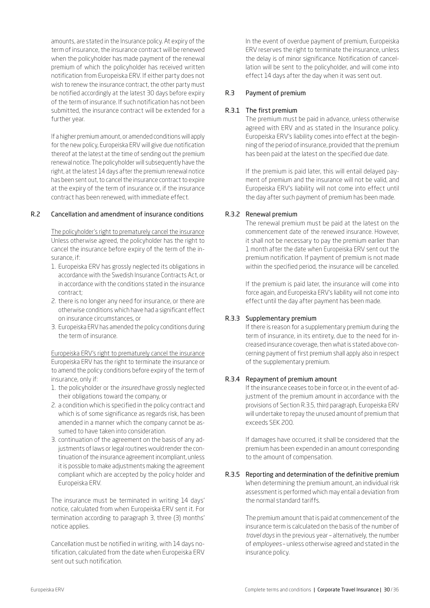amounts, are stated in the Insurance policy. At expiry of the term of insurance, the insurance contract will be renewed when the policyholder has made payment of the renewal premium of which the policyholder has received written notification from Europeiska ERV. If either party does not wish to renew the insurance contract, the other party must be notified accordingly at the latest 30 days before expiry of the term of insurance. If such notification has not been submitted, the insurance contract will be extended for a further year.

If a higher premium amount, or amended conditions will apply for the new policy, Europeiska ERV will give due notification thereof at the latest at the time of sending out the premium renewal notice. The policyholder will subsequently have the right, at the latest 14 days after the premium renewal notice has been sent out, to cancel the insurance contract to expire at the expiry of the term of insurance or, if the insurance contract has been renewed, with immediate effect.

#### <span id="page-29-0"></span>R.2 Cancellation and amendment of insurance conditions

The policyholder's right to prematurely cancel the insurance Unless otherwise agreed, the policyholder has the right to cancel the insurance before expiry of the term of the insurance, if:

- 1. Europeiska ERV has grossly neglected its obligations in accordance with the Swedish Insurance Contracts Act, or in accordance with the conditions stated in the insurance contract;
- 2. there is no longer any need for insurance, or there are otherwise conditions which have had a significant effect on insurance circumstances, or
- 3. Europeiska ERV has amended the policy conditions during the term of insurance.

Europeiska ERV's right to prematurely cancel the insurance Europeiska ERV has the right to terminate the insurance or to amend the policy conditions before expiry of the term of insurance, only if:

- 1. the policyholder or the *insured* have grossly neglected their obligations toward the company, or
- 2. a condition which is specified in the policy contract and which is of some significance as regards risk, has been amended in a manner which the company cannot be assumed to have taken into consideration.
- 3. continuation of the agreement on the basis of any adjustments of laws or legal routines would render the continuation of the insurance agreement incompliant, unless it is possible to make adjustments making the agreement compliant which are accepted by the policy holder and Europeiska ERV.

The insurance must be terminated in writing 14 days' notice, calculated from when Europeiska ERV sent it. For termination according to paragraph 3, three (3) months' notice applies.

Cancellation must be notified in writing, with 14 days notification, calculated from the date when Europeiska ERV sent out such notification.

In the event of overdue payment of premium, Europeiska ERV reserves the right to terminate the insurance, unless the delay is of minor significance. Notification of cancellation will be sent to the policyholder, and will come into effect 14 days after the day when it was sent out.

## <span id="page-29-1"></span>R.3 Payment of premium

## R.3.1 The first premium

The premium must be paid in advance, unless otherwise agreed with ERV and as stated in the Insurance policy. Europeiska ERV's liability comes into effect at the beginning of the period of insurance, provided that the premium has been paid at the latest on the specified due date.

If the premium is paid later, this will entail delayed payment of premium and the insurance will not be valid, and Europeiska ERV's liability will not come into effect until the day after such payment of premium has been made.

#### R.3.2 Renewal premium

The renewal premium must be paid at the latest on the commencement date of the renewed insurance. However, it shall not be necessary to pay the premium earlier than 1 month after the date when Europeiska ERV sent out the premium notification. If payment of premium is not made within the specified period, the insurance will be cancelled.

If the premium is paid later, the insurance will come into force again, and Europeiska ERV's liability will not come into effect until the day after payment has been made.

#### R.3.3 Supplementary premium

If there is reason for a supplementary premium during the term of insurance, in its entirety, due to the need for increased insurance coverage, then what is stated above concerning payment of first premium shall apply also in respect of the supplementary premium.

#### R.3.4 Repayment of premium amount

the normal standard tariffs.

If the insurance ceases to be in force or, in the event of adjustment of the premium amount in accordance with the provisions of Section R.3.5, third paragraph, Europeiska ERV will undertake to repay the unused amount of premium that exceeds SEK 200.

If damages have occurred, it shall be considered that the premium has been expended in an amount corresponding to the amount of compensation.

#### R.3.5 Reporting and determination of the definitive premium When determining the premium amount, an individual risk assessment is performed which may entail a deviation from

The premium amount that is paid at commencement of the insurance term is calculated on the basis of the number of *travel days* in the previous year – alternatively, the number of *employees* – unless otherwise agreed and stated in the insurance policy.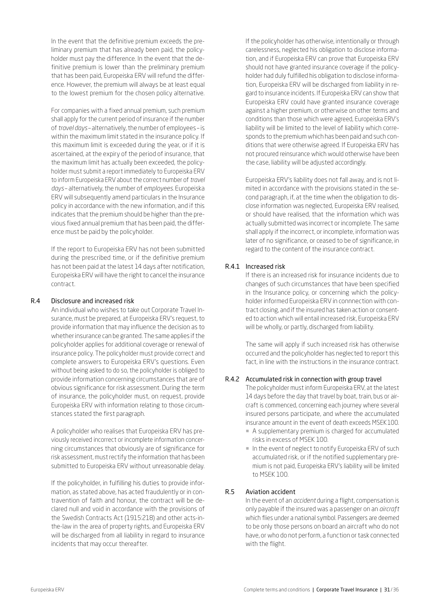In the event that the definitive premium exceeds the preliminary premium that has already been paid, the policyholder must pay the difference. In the event that the definitive premium is lower than the preliminary premium that has been paid, Europeiska ERV will refund the difference. However, the premium will always be at least equal to the lowest premium for the chosen policy alternative.

For companies with a fixed annual premium, such premium shall apply for the current period of insurance if the number of *travel days* – alternatively, the number of employees – is within the maximum limit stated in the insurance policy. If this maximum limit is exceeded during the year, or if it is ascertained, at the expiry of the period of insurance, that the maximum limit has actually been exceeded, the policyholder must submit a report immediately to Europeiska ERV to inform Europeiska ERV about the correct number of *travel days* – alternatively, the number of *employees*. Europeiska ERV will subsequently amend particulars in the Insurance policy in accordance with the new information, and if this indicates that the premium should be higher than the previous fixed annual premium that has been paid, the difference must be paid by the policyholder.

If the report to Europeiska ERV has not been submitted during the prescribed time, or if the definitive premium has not been paid at the latest 14 days after notification, Europeiska ERV will have the right to cancel the insurance contract.

# <span id="page-30-0"></span>R.4 Disclosure and increased risk

An individual who wishes to take out Corporate Travel Insurance, must be prepared, at Europeiska ERV's request, to provide information that may influence the decision as to whether insurance can be granted. The same applies if the policyholder applies for additional coverage or renewal of insurance policy. The policyholder must provide correct and complete answers to Europeiska ERV's questions. Even without being asked to do so, the policyholder is obliged to provide information concerning circumstances that are of obvious significance for risk assessment. During the term of insurance, the policyholder must, on request, provide Europeiska ERV with information relating to those circumstances stated the first paragraph.

A policyholder who realises that Europeiska ERV has previously received incorrect or incomplete information concerning circumstances that obviously are of significance for risk assessment, must rectify the information that has been submitted to Europeiska ERV without unreasonable delay.

If the policyholder, in fulfilling his duties to provide information, as stated above, has acted fraudulently or in contravention of faith and honour, the contract will be declared null and void in accordance with the provisions of the Swedish Contracts Act (1915:218) and other acts-inthe-law in the area of property rights, and Europeiska ERV will be discharged from all liability in regard to insurance incidents that may occur thereafter.

If the policyholder has otherwise, intentionally or through carelessness, neglected his obligation to disclose information, and if Europeiska ERV can prove that Europeiska ERV should not have granted insurance coverage if the policyholder had duly fulfilled his obligation to disclose information, Europeiska ERV will be discharged from liability in regard to insurance incidents. If Europeiska ERV can show that Europeiska ERV could have granted insurance coverage against a higher premium, or otherwise on other terms and conditions than those which were agreed, Europeiska ERV's liability will be limited to the level of liability which corresponds to the premium which has been paid and such conditions that were otherwise agreed. If Europeiska ERV has not procured reinsurance which would otherwise have been the case, liability will be adjusted accordingly.

Europeiska ERV's liability does not fall away, and is not limited in accordance with the provisions stated in the second paragraph, if, at the time when the obligation to disclose information was neglected, Europeiska ERV realised, or should have realised, that the information which was actually submitted was incorrect or incomplete. The same shall apply if the incorrect, or incomplete, information was later of no significance, or ceased to be of significance, in regard to the content of the insurance contract.

# R.4.1 Increased risk

If there is an increased risk for insurance incidents due to changes of such circumstances that have been specified in the Insurance policy, or concerning which the policyholder informed Europeiska ERV in connnection with contract closing, and if the insured has taken action or consented to action which will entail increased risk, Europeiska ERV will be wholly, or partly, discharged from liability.

The same will apply if such increased risk has otherwise occurred and the policyholder has neglected to report this fact, in line with the instructions in the insurance contract.

# R.4.2 Accumulated risk in connection with group travel

The policyholder must inform Europeiska ERV, at the latest 14 days before the day that travel by boat, train, bus or aircraft is commenced, concerning each journey where several insured persons participate, and where the accumulated insurance amount in the event of death exceeds MSEK 100.

- ¡ A supplementary premium is charged for accumulated risks in excess of MSEK 100.
- ¡ In the event of neglect to notify Europeiska ERV of such accumulated risk, or if the notified supplementary premium is not paid, Europeiska ERV's liability will be limited to MSEK 100.

# <span id="page-30-1"></span>R.5 Aviation accident

In the event of an *accident* during a flight, compensation is only payable if the insured was a passenger on an *aircraft* which flies under a national symbol. Passengers are deemed to be only those persons on board an aircraft who do not have, or who do not perform, a function or task connected with the flight.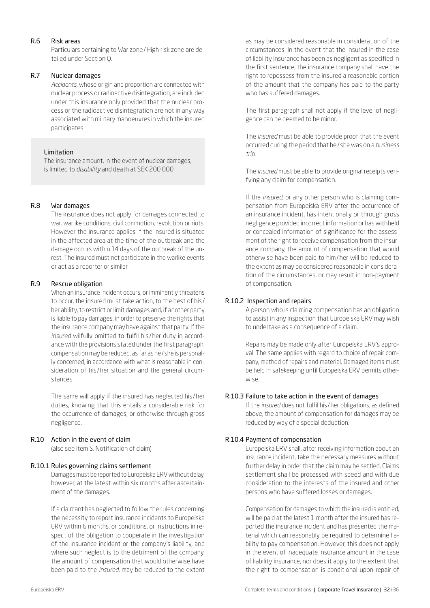# <span id="page-31-0"></span>R.6 Risk areas

Particulars pertaining to War zone/High risk zone are detailed under Section Q.

# <span id="page-31-1"></span>R.7 Nuclear damages

*Accidents*, whose origin and proportion are connected with nuclear process or radioactive disintegration, are included under this insurance only provided that the nuclear process or the radioactive disintegration are not in any way associated with military manoeuvres in which the insured participates.

# Limitation

The insurance amount, in the event of nuclear damages, is limited to *disability* and death at SEK 200 000.

# <span id="page-31-2"></span>R.8 War damages

The insurance does not apply for damages connected to war, warlike conditions, civil commotion, revolution or riots. However the insurance applies if the insured is situated in the affected area at the time of the outbreak and the damage occurs within 14 days of the outbreak of the unrest. The insured must not participate in the warlike events or act as a reporter or similar

# <span id="page-31-3"></span>R.9 Rescue obligation

When an insurance incident occurs, or imminently threatens to occur, the insured must take action, to the best of his / her ability, to restrict or limit damages and, if another party is liable to pay damages, in order to preserve the rights that the insurance company may have against that party. If the *insured* wilfully omitted to fulfil his /her duty in accordance with the provisions stated under the first paragraph, compensation may be reduced, as far as he/ she is personally concerned, in accordance with what is reasonable in consideration of his/her situation and the general circumstances.

The same will apply if the insured has neglected his /her duties, knowing that this entails a considerable risk for the occurrence of damages, or otherwise through gross negligence.

# <span id="page-31-4"></span>R.10 Action in the event of claim

(also see item S. Notification of claim)

# R.10.1 Rules governing claims settlement

Damages must be reported to Europeiska ERV without delay, however, at the latest within six months after ascertainment of the damages.

If a claimant has neglected to follow the rules concerning the necessity to report insurance incidents to Europeiska ERV within 6 months, or conditions, or instructions in respect of the obligation to cooperate in the investigation of the insurance incident or the company's liability, and where such neglect is to the detriment of the company, the amount of compensation that would otherwise have been paid to the *insured*, may be reduced to the extent

as may be considered reasonable in consideration of the circumstances. In the event that the insured in the case of liability insurance has been as negligent as specified in the first sentence, the insurance company shall have the right to repossess from the insured a reasonable portion of the amount that the company has paid to the party who has suffered damages.

The first paragraph shall not apply if the level of negligence can be deemed to be minor.

The *insured* must be able to provide proof that the event occurred during the period that he/ she was on a *business trip*.

The *insured* must be able to provide original receipts verifying any claim for compensation.

If the *insured*, or any other person who is claiming compensation from Europeiska ERV after the occurrence of an insurance incident, has intentionally or through gross negligence provided incorrect information or has withheld or concealed information of significance for the assessment of the right to receive compensation from the insurance company, the amount of compensation that would otherwise have been paid to him/her will be reduced to the extent as may be considered reasonable in consideration of the circumstances, or may result in non-payment of compensation.

# R.10.2 Inspection and repairs

A person who is claiming compensation has an obligation to assist in any inspection that Europeiska ERV may wish to undertake as a consequence of a claim.

Repairs may be made only after Europeiska ERV's approval. The same applies with regard to choice of repair company, method of repairs and material. Damaged items must be held in safekeeping until Europeiska ERV permits otherwise.

# R.10.3 Failure to take action in the event of damages

If the *insured* does not fulfil his /her obligations, as defined above, the amount of compensation for damages may be reduced by way of a special deduction.

# R.10.4 Payment of compensation

Europeiska ERV shall, after receiving information about an insurance incident, take the necessary measures without further delay in order that the claim may be settled. Claims settlement shall be processed with speed and with due consideration to the interests of the insured and other persons who have suffered losses or damages.

Compensation for damages to which the insured is entitled, will be paid at the latest 1 month after the insured has reported the insurance incident and has presented the material which can reasonably be required to determine liability to pay compensation. However, this does not apply in the event of inadequate insurance amount in the case of liability insurance, nor does it apply to the extent that the right to compensation is conditional upon repair of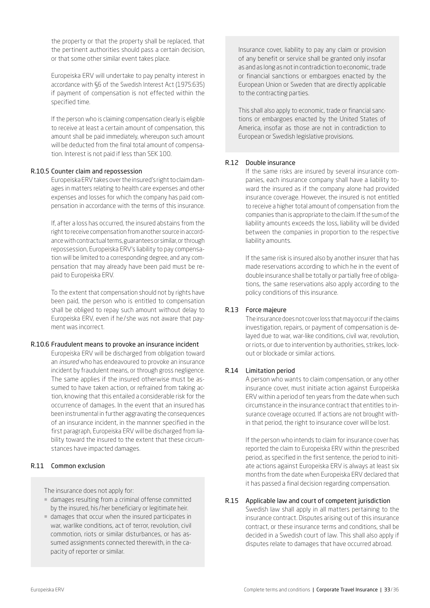the property or that the property shall be replaced, that the pertinent authorities should pass a certain decision, or that some other similar event takes place.

Europeiska ERV will undertake to pay penalty interest in accordance with §6 of the Swedish Interest Act (1975:635) if payment of compensation is not effected within the specified time.

If the person who is claiming compensation clearly is eligible to receive at least a certain amount of compensation, this amount shall be paid immediately, whereupon such amount will be deducted from the final total amount of compensation. Interest is not paid if less than SEK 100.

#### R.10.5 Counter claim and repossession

Europeiska ERV takes over the insured's right to claim damages in matters relating to health care expenses and other expenses and losses for which the company has paid compensation in accordance with the terms of this insurance.

If, after a loss has occurred, the insured abstains from the right to receive compensation from another source in accordance with contractual terms, guarantees or similar, or through repossession, Europeiska ERV's liability to pay compensation will be limited to a corresponding degree, and any compensation that may already have been paid must be repaid to Europeiska ERV.

To the extent that compensation should not by rights have been paid, the person who is entitled to compensation shall be obliged to repay such amount without delay to Europeiska ERV, even if he/ she was not aware that payment was incorrect.

#### R.10.6 Fraudulent means to provoke an insurance incident

Europeiska ERV will be discharged from obligation toward an *insured* who has endeavoured to provoke an insurance incident by fraudulent means, or through gross negligence. The same applies if the insured otherwise must be assumed to have taken action, or refrained from taking action, knowing that this entailed a considerable risk for the occurrence of damages. In the event that an insured has been instrumental in further aggravating the consequences of an insurance incident, in the mannner specified in the first paragraph, Europeiska ERV will be discharged from liability toward the insured to the extent that these circumstances have impacted damages.

### <span id="page-32-0"></span>R.11 Common exclusion

The insurance does not apply for:

- ¡ damages resulting from a criminal offense committed by the insured, his /her beneficiary or legitimate heir.
- ¡ damages that occur when the insured participates in war, warlike conditions, act of terror, revolution, civil commotion, riots or similar disturbances, or has assumed assignments connected therewith, in the capacity of reporter or similar.

Insurance cover, liability to pay any claim or provision of any benefit or service shall be granted only insofar as and as long as not in contradiction to economic, trade or financial sanctions or embargoes enacted by the European Union or Sweden that are directly applicable to the contracting parties.

This shall also apply to economic, trade or financial sanctions or embargoes enacted by the United States of America, insofar as those are not in contradiction to European or Swedish legislative provisions.

# <span id="page-32-1"></span>R.12 Double insurance

If the same risks are insured by several insurance companies, each insurance company shall have a liability toward the insured as if the company alone had provided insurance coverage. However, the insured is not entitled to receive a higher total amount of compensation from the companies than is appropriate to the claim. If the sum of the liability amounts exceeds the loss, liability will be divided between the companies in proportion to the respective liability amounts.

If the same risk is insured also by another insurer that has made reservations according to which he in the event of double insurance shall be totally or partially free of obligations, the same reservations also apply according to the policy conditions of this insurance.

#### <span id="page-32-2"></span>R.13 Force majeure

The insurance does not cover loss that may occur if the claims investigation, repairs, or payment of compensation is delayed due to war, war-like conditions, civil war, revolution, or riots, or due to intervention by authorities, strikes, lockout or blockade or similar actions.

### <span id="page-32-3"></span>R.14 Limitation period

A person who wants to claim compensation, or any other insurance cover, must initiate action against Europeiska ERV within a period of ten years from the date when such circumstance in the insurance contract that entitles to insurance coverage occurred. If actions are not brought within that period, the right to insurance cover will be lost.

If the person who intends to claim for insurance cover has reported the claim to Europeiska ERV within the prescribed period, as specified in the first sentence, the period to initiate actions against Europeiska ERV is always at least six months from the date when Europeiska ERV declared that it has passed a final decision regarding compensation.

## <span id="page-32-4"></span>R.15 Applicable law and court of competent jurisdiction

Swedish law shall apply in all matters pertaining to the insurance contract. Disputes arising out of this insurance contract, or these insurance terms and conditions, shall be decided in a Swedish court of law. This shall also apply if disputes relate to damages that have occurred abroad.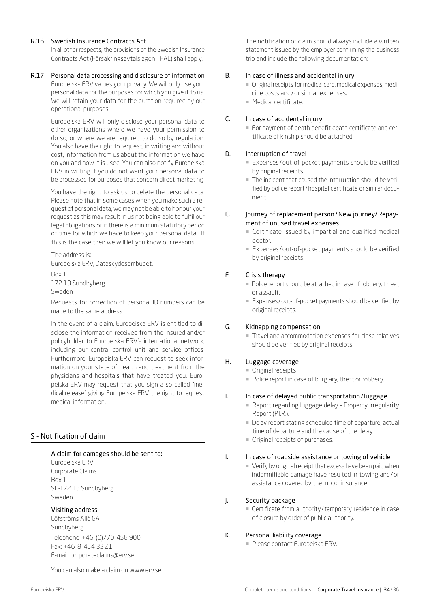# <span id="page-33-0"></span>R.16 Swedish Insurance Contracts Act

In all other respects, the provisions of the Swedish Insurance Contracts Act (Försäkringsavtalslagen – FAL) shall apply.

#### <span id="page-33-1"></span>R.17 Personal data processing and disclosure of information Europeiska ERV values your privacy. We will only use your personal data for the purposes for which you give it to us. We will retain your data for the duration required by our operational purposes.

Europeiska ERV will only disclose your personal data to other organizations where we have your permission to do so, or where we are required to do so by regulation. You also have the right to request, in writing and without cost, information from us about the information we have on you and how it is used. You can also notify Europeiska ERV in writing if you do not want your personal data to be processed for purposes that concern direct marketing.

You have the right to ask us to delete the personal data. Please note that in some cases when you make such a request of personal data, we may not be able to honour your request as this may result in us not being able to fulfil our legal obligations or if there is a minimum statutory period of time for which we have to keep your personal data. If this is the case then we will let you know our reasons.

The address is: Europeiska ERV, Dataskyddsombudet,

Box 1 172 13 Sundbyberg Sweden

Requests for correction of personal ID numbers can be made to the same address.

In the event of a claim, Europeiska ERV is entitled to disclose the information received from the insured and/or policyholder to Europeiska ERV's international network, including our central control unit and service offices. Furthermore, Europeiska ERV can request to seek information on your state of health and treatment from the physicians and hospitals that have treated you. Europeiska ERV may request that you sign a so-called "medical release" giving Europeiska ERV the right to request medical information.

# <span id="page-33-2"></span>S - Notification of claim

# A claim for damages should be sent to:

Europeiska ERV Corporate Claims Box 1 SE-172 13 Sundbyberg Sweden

# Visiting address:

Löfströms Allé 6A Sundbyberg Telephone: +46-(0)770-456 900 Fax: +46-8-454 33 21 E-mail: [corporateclaims@erv.se](mailto:corporateclaims%40erv.se?subject=)

You can also make a claim on [www.erv.se.](https://www.erv.se/foretag/anmal-skada-foretag/)

The notification of claim should always include a written statement issued by the employer confirming the business trip and include the following documentation:

# B. In case of illness and accidental injury

- ¡ Original receipts for medical care, medical expenses, medicine costs and/or similar expenses.
- ¡ Medical certificate.

# C. In case of accidental injury

¡ For payment of death benefit death certificate and certificate of kinship should be attached.

# D. Interruption of travel

- Expenses/out-of-pocket payments should be verified by original receipts.
- ¡ The incident that caused the interruption should be verified by police report/hospital certificate or similar document.

# E. Journey of replacement person/New journey/Repayment of unused travel expenses

- ¡ Certificate issued by impartial and qualified medical doctor.
- Expenses/out-of-pocket payments should be verified by original receipts.

# F. Crisis therapy

- Police report should be attached in case of robbery, threat or assault.
- ¡ Expenses /out-of-pocket payments should be verified by original receipts.

# G. Kidnapping compensation

¡ Travel and accommodation expenses for close relatives should be verified by original receipts.

# H. Luggage coverage

- **Original receipts**
- Police report in case of burglary, theft or robbery.

# I. In case of delayed public transportation/luggage

- ¡ Report regarding luggage delay Property Irregularity Report (P.I.R.).
- ¡ Delay report stating scheduled time of departure, actual time of departure and the cause of the delay.
- ¡ Original receipts of purchases.

## I. In case of roadside assistance or towing of vehicle

- ¡ Verify by original receipt that excess have been paid when indemnifiable damage have resulted in towing and/or assistance covered by the motor insurance.
- J. Security package
	- ¡ Certificate from authority /temporary residence in case of closure by order of public authority.

# K. Personal liability coverage

**• Please contact Europeiska ERV.**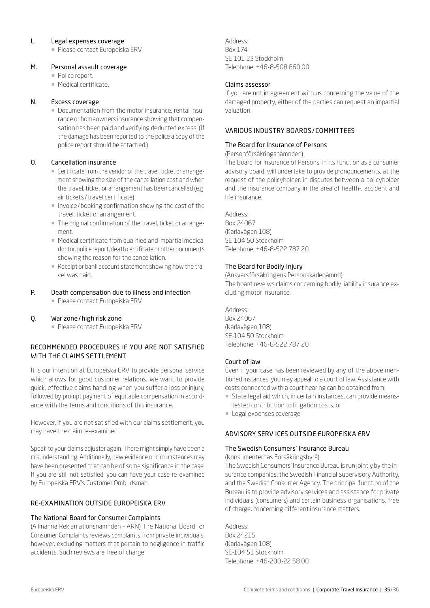## L. Legal expenses coverage

**• Please contact Europeiska ERV.** 

#### M. Personal assault coverage

- **Police report.**
- ¡ Medical certificate.

#### N. Excess coverage

¡ Documentation from the motor insurance, rental insurance or homeowners insurance showing that compensation has been paid and verifying deducted excess. (If the damage has been reported to the police a copy of the police report should be attached.)

# O. Cancellation insurance

- ¡ Certificate from the vendor of the travel, ticket or arrangement showing the size of the cancellation cost and when the travel, ticket or arrangement has been cancelled (e.g. air tickets/travel certificate)
- ¡ Invoice/booking confirmation showing the cost of the travel, ticket or arrangement.
- ¡ The original confirmation of the travel, ticket or arrangement.
- ¡ Medical certificate from qualified and impartial medical doctor, police report, death certificate or other documents showing the reason for the cancellation.
- ¡ Receipt or bank account statement showing how the travel was paid.

# P. Death compensation due to illness and infection

**• Please contact Europeiska ERV.** 

#### Q. War zone/high risk zone

**• Please contact Europeiska ERV.** 

# RECOMMENDED PROCEDURES IF YOU ARE NOT SATISFIED WITH THE CLAIMS SETTLEMENT

It is our intention at Europeiska ERV to provide personal service which allows for good customer relations. We want to provide quick, effective claims handling when you suffer a loss or injury, followed by prompt payment of equitable compensation in accordance with the terms and conditions of this insurance.

However, if you are not satisfied with our claims settlement, you may have the claim re-examined.

Speak to your claims adjuster again. There might simply have been a misunderstanding. Additionally, new evidence or circumstances may have been presented that can be of some significance in the case. If you are still not satisfied, you can have your case re-examined by Europeiska ERV's Customer Ombudsman.

# RE-EXAMINATION OUTSIDE EUROPEISKA ERV

#### The National Board for Consumer Complaints

(Allmänna Reklamationsnämnden – ARN) The National Board for Consumer Complaints reviews complaints from private individuals, however, excluding matters that pertain to negligence in traffic accidents. Such reviews are free of charge.

Address: Box 174 SE-101 23 Stockholm Telephone: +46-8-508 860 00

#### Claims assessor

If you are not in agreement with us concerning the value of the damaged property, either of the parties can request an impartial valuation.

# VARIOUS INDUSTRY BOARDS / COMMITTEES

#### The Board for Insurance of Persons

#### (Personförsäkringsnämnden)

The Board for Insurance of Persons, in its function as a consumer advisory board, will undertake to provide pronouncements, at the request of the policyholder, in disputes between a policyholder and the insurance company in the area of health-, accident and life insurance.

Address: Box 24067 (Karlavägen 108) SE-104 50 Stockholm Telephone: +46-8-522 787 20

#### The Board for Bodily Injury

(Ansvarsförsäkringens Personskadenämnd) The board reveiws claims concerning bodily liability insurance excluding motor insurance.

Address:

Box 24067 (Karlavägen 108) SE-104 50 Stockholm Telephone: +46-8-522 787 20

#### Court of law

Even if your case has been reviewed by any of the above mentioned instances, you may appeal to a court of law. Assistance with costs connected with a court hearing can be obtained from:

- ¡ State legal aid which, in certain instances, can provide meanstested contribution to litigation costs, or
- **Legal expenses coverage**

#### ADVISORY SERV ICES OUTSIDE EUROPEISKA ERV

# The Swedish Consumers' Insurance Bureau

(Konsumenternas Försäkringsbyrå)

The Swedish Consumers' Insurance Bureau is run jointly by the insurance companies, the Swedish Financial Supervisory Authority, and the Swedish Consumer Agency. The principal function of the Bureau is to provide advisory services and assistance for private individuals (consumers) and certain business organisations, free of charge, concerning different insurance matters.

Address: Box 24215 (Karlavägen 108) SE-104 51 Stockholm Telephone: +46-200-22 58 00